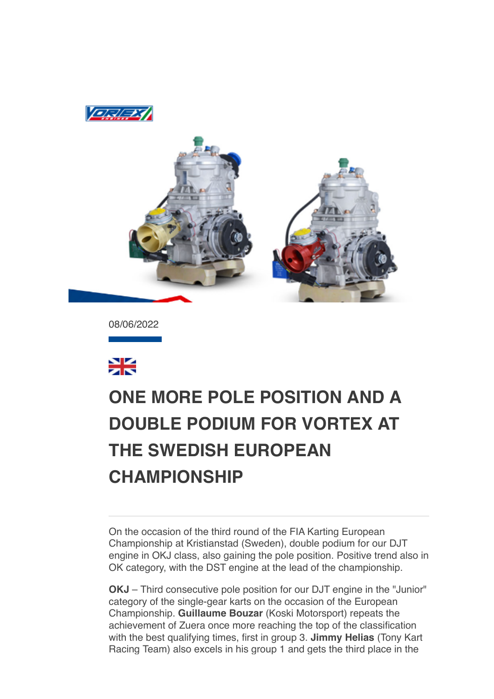



08/06/2022



## **[ONE MORE POLE POSITION AND A](data:text/html;charset=utf-8;base64,%20PGh0bWwgeG1sbnM9Imh0dHA6Ly93d3cudzMub3JnLzE5OTkveGh0bWwiIGNsYXNzPSJhcHBsZS1tYWlsLWltcGxpY2l0LWRhcmstc3VwcG9ydCIgc3R5bGU9Inpvb206IDE7Ij48aGVhZD48c3R5bGUgdHlwZT0idGV4dC9jc3MiPi8qCiAqICBNVUlXZWJEb2N1bWVudC5jc3MKICogIE1haWwKICoKICogIENvcHlyaWdodCAyMDEyIEFwcGxlIEluYy4gQWxsIHJpZ2h0cyByZXNlcnZlZC4gCiAqLwoKKiB7CiAgICAtd2Via2l0LXVzZXItbW9kaWZ5OiBpbml0aWFsICFpbXBvcnRhbnQ7Cn0KCmh0bWwgewogICAgZm9udDogMTIuMDAwMDAwcHggSGVsdmV0aWNhOwp9Cgpib2R5IHsKICAgIG1hcmdpbjogMThweCAyNXB4IDIycHg7CiAgICBwYWRkaW5nOiAwOwogICAgd29yZC13cmFwOiBicmVhay13b3JkOwogICAgd29yZC1icmVhazogYnJlYWstd29yZDsKIH0KCnRhYmxlIHsKICAgIHdvcmQtYnJlYWs6IG5vcm1hbDsKfQoKLyogQXR0YWNobWVudHMgKi8KCmltZy5BcHBsZS1zbWFsbC1pbWFnZSB7CiAgICB3aWR0aDozMjBweDsKfQoKaW1nLkFwcGxlLW1lZGl1bS1pbWFnZSB7CiAgICB3aWR0aDo2NDBweDsKfQoKaW1nLkFwcGxlLWxhcmdlLWltYWdlIHsKICAgIHdpZHRoOjEyODBweDsKfQoKQC13ZWJraXQta2V5ZnJhbWVzIEFwcGxlLWRpc2NyZXRlLXNwaW5uZXIgewogICAgLyogVGhlc2Uga2V5ZnJhbWVzIHRyeSB0byByZXByb2R1Y2UgdGhlIDE2IGRpc2NyZXRlIHN0ZXBzIHNlZW4gaW4gYSBzdGFuZGFyZCBzeXN0ZW0gcHJvZ3Jlc3MgaW5kaWNhdG9yLiAqLwogICAgMCUgewogICAgICAgIGJhY2tncm91bmQtaW1hZ2U6IHVybCgneC1idW5kbGUtcmVzb3VyY2U6SW5kZXRlcm1pbmF0ZVByb2dyZXNzU3Bpbm5lcjEucGRmJyk7CiAgICB9CiAgICA2LjI1MCUgewogICAgICAgIGJhY2tncm91bmQtaW1hZ2U6IHVybCgneC1idW5kbGUtcmVzb3VyY2U6SW5kZXRlcm1pbmF0ZVByb2dyZXNzU3Bpbm5lcjIucGRmJyk7CiAgICB9CiAgICAxMi41MDAlIHsKICAgICAgICBiYWNrZ3JvdW5kLWltYWdlOiB1cmwoJ3gtYnVuZGxlLXJlc291cmNlOkluZGV0ZXJtaW5hdGVQcm9ncmVzc1NwaW5uZXIzLnBkZicpOwogICAgfQogICAgMTguNzUwJSB7CiAgICAgICAgYmFja2dyb3VuZC1pbWFnZTogdXJsKCd4LWJ1bmRsZS1yZXNvdXJjZTpJbmRldGVybWluYXRlUHJvZ3Jlc3NTcGlubmVyNC5wZGYnKTsKICAgIH0KICAgIDI1LjAwMCUgewogICAgICAgIGJhY2tncm91bmQtaW1hZ2U6IHVybCgneC1idW5kbGUtcmVzb3VyY2U6SW5kZXRlcm1pbmF0ZVByb2dyZXNzU3Bpbm5lcjUucGRmJyk7CiAgICB9CiAgICAzMS4yNTAlIHsKICAgICAgICBiYWNrZ3JvdW5kLWltYWdlOiB1cmwoJ3gtYnVuZGxlLXJlc291cmNlOkluZGV0ZXJtaW5hdGVQcm9ncmVzc1NwaW5uZXI2LnBkZicpOwogICAgfQogICAgMzcuNTAwJSB7CiAgICAgICAgYmFja2dyb3VuZC1pbWFnZTogdXJsKCd4LWJ1bmRsZS1yZXNvdXJjZTpJbmRldGVybWluYXRlUHJvZ3Jlc3NTcGlubmVyNy5wZGYnKTsKICAgIH0KICAgIDQzLjc1MCUgewogICAgICAgIGJhY2tncm91bmQtaW1hZ2U6IHVybCgneC1idW5kbGUtcmVzb3VyY2U6SW5kZXRlcm1pbmF0ZVByb2dyZXNzU3Bpbm5lcjgucGRmJyk7CiAgICB9CiAgICA1MC4wMDAlIHsKICAgICAgICBiYWNrZ3JvdW5kLWltYWdlOiB1cmwoJ3gtYnVuZGxlLXJlc291cmNlOkluZGV0ZXJtaW5hdGVQcm9ncmVzc1NwaW5uZXI5LnBkZicpOwogICAgfQogICAgNTYuMjUwJSB7CiAgICAgICAgYmFja2dyb3VuZC1pbWFnZTogdXJsKCd4LWJ1bmRsZS1yZXNvdXJjZTpJbmRldGVybWluYXRlUHJvZ3Jlc3NTcGlubmVyMTAucGRmJyk7CiAgICB9CiAgICA2Mi41MDAlIHsKICAgICAgICBiYWNrZ3JvdW5kLWltYWdlOiB1cmwoJ3gtYnVuZGxlLXJlc291cmNlOkluZGV0ZXJtaW5hdGVQcm9ncmVzc1NwaW5uZXIxMS5wZGYnKTsKICAgIH0KICAgIDY4Ljc1MCUgewogICAgICAgIGJhY2tncm91bmQtaW1hZ2U6IHVybCgneC1idW5kbGUtcmVzb3VyY2U6SW5kZXRlcm1pbmF0ZVByb2dyZXNzU3Bpbm5lcjEyLnBkZicpOwogICAgfQogICAgNzUuMDAwJSB7CiAgICAgICAgYmFja2dyb3VuZC1pbWFnZTogdXJsKCd4LWJ1bmRsZS1yZXNvdXJjZTpJbmRldGVybWluYXRlUHJvZ3Jlc3NTcGlubmVyMTMucGRmJyk7CiAgICB9CiAgICA4MS4yNTAlIHsKICAgICAgICBiYWNrZ3JvdW5kLWltYWdlOiB1cmwoJ3gtYnVuZGxlLXJlc291cmNlOkluZGV0ZXJtaW5hdGVQcm9ncmVzc1NwaW5uZXIxNC5wZGYnKTsKICAgIH0KICAgIDg3LjUwMCUgewogICAgICAgIGJhY2tncm91bmQtaW1hZ2U6IHVybCgneC1idW5kbGUtcmVzb3VyY2U6SW5kZXRlcm1pbmF0ZVByb2dyZXNzU3Bpbm5lcjE1LnBkZicpOwogICAgfQogICAgOTMuNzUwJSB7CiAgICAgICAgYmFja2dyb3VuZC1pbWFnZTogdXJsKCd4LWJ1bmRsZS1yZXNvdXJjZTpJbmRldGVybWluYXRlUHJvZ3Jlc3NTcGlubmVyMTYucGRmJyk7CiAgICB9CiAgICAxMDAlIHsKICAgICAgICBiYWNrZ3JvdW5kLWltYWdlOiB1cmwoJ3gtYnVuZGxlLXJlc291cmNlOkluZGV0ZXJtaW5hdGVQcm9ncmVzc1NwaW5uZXIxLnBkZicpOwogICAgfQp9CgpkaXYuQXBwbGUtaW5kZXRlcm1pbmF0ZS1wcm9ncmVzcy1zcGlubmVyIHsKICAgIHdpZHRoOiAxNnB4OwogICAgaGVpZ2h0OiAxNnB4OwogICAgYmFja2dyb3VuZC1pbWFnZTogdXJsKCd4LWJ1bmRsZS1yZXNvdXJjZTpJbmRldGVybWluYXRlUHJvZ3Jlc3NTcGlubmVyMS5wZGYnKTsKICAgIGJhY2tncm91bmQtcmVwZWF0OiBuby1yZXBlYXQ7CiAgICBiYWNrZ3JvdW5kLXNpemU6IDEwMCUgMTAwJTsKICAgIC13ZWJraXQtYW5pbWF0aW9uLW5hbWU6IEFwcGxlLWRpc2NyZXRlLXNwaW5uZXI7CiAgICAtd2Via2l0LWFuaW1hdGlvbi1kdXJhdGlvbjogMXM7CiAgICAtd2Via2l0LWFuaW1hdGlvbi1pdGVyYXRpb24tY291bnQ6IGluZmluaXRlOwogICAgLXdlYmtpdC1hbmltYXRpb24tdGltaW5nLWZ1bmN0aW9uOiBzdGVwLXN0YXJ0Owp9CgovKiBMaXN0IFN0eWxlcyAqLwoKdWwuQXBwbGUtZGFzaC1saXN0LCB1bC5BcHBsZS1kYXNoLWxpc3QgdWwgewogICAgbGlzdC1zdHlsZS10eXBlOiBub25lOwp9CiAgICAKdWwuQXBwbGUtZGFzaC1saXN0IGxpOmJlZm9yZSB7CiAgICBjb250ZW50OiAiXDIwMTMiOwogICAgcG9zaXRpb246IGFic29sdXRlOwogICAgbWFyZ2luOiAwIC0xLjI1ZW07Cn0KCi8qIE9yZGVyZWQgTGlzdHM6IFN1cHBvcnQgOSBkZWVwLCBsaWtlIFBhZ2VzLCB0aGVuIGZhbGwgYmFjayB0byBkYXNoZXMgKi8Kb2wsIG9sIG9sIG9sIG9sLCBvbCBvbCBvbCBvbCBvbCBvbCBvbCB7CiAgICBsaXN0LXN0eWxlLXR5cGU6IGRlY2ltYWw7Cn0KCm9sIG9sLCBvbCBvbCBvbCBvbCBvbCwgb2wgb2wgb2wgb2wgb2wgb2wgb2wgb2wgewogICAgbGlzdC1zdHlsZS10eXBlOiBsb3dlci1hbHBoYTsKfQoKb2wgb2wgb2wsIG9sIG9sIG9sIG9sIG9sIG9sLCBvbCBvbCBvbCBvbCBvbCBvbCBvbCBvbCBvbCB7CiAgICBsaXN0LXN0eWxlLXR5cGU6IGxvd2VyLXJvbWFuOwp9CgpvbCBvbCBvbCBvbCBvbCBvbCBvbCBvbCBvbCBvbCB7CiAgICBsaXN0LXN0eWxlLXR5cGU6IG5vbmU7Cn0KCm9sIG9sIG9sIG9sIG9sIG9sIG9sIG9sIG9sIG9sIGxpOmJlZm9yZSB7CiAgICBjb250ZW50OiAiXDIwMTMiOwogICAgcG9zaXRpb246IGFic29sdXRlOwogICAgLXdlYmtpdC1tYXJnaW4tc3RhcnQ6IC0xLjI1ZW07Cn0KCi8qIE1haWwtc3BlY2lmaWMgU3R5bGVzICovCgphLngtYXBwbGUtbWFpbC1zZWUtbW9yZSwgYS54LWFwcGxlLW1haWwtc2VlLW1vcmUtZnJvbSB7CiAgICBmb250LXNpemU6IDEwcHg7CiAgICBmb250LWZhbWlseTogSGVsdmV0aWNhOwogICAgdGV4dC1kZWNvcmF0aW9uOiBub25lOwogICAgY29sb3I6IC1hcHBsZS1zeXN0ZW0tYmx1ZTsKICAgIC1hcHBsZS1jb2xvci1maWx0ZXI6IG5vbmU7Cn0KCmEueC1hcHBsZS1tYWlsLXNlZS1tb3JlIHsKICAgIGZvbnQtc2l6ZTogMTFweDsKICAgIGZvbnQtd2VpZ2h0OiBib2xkOwp9Cgpib2R5LkFwcGxlUGxhaW5UZXh0Qm9keSB7CiAgICAtd2Via2l0LW5ic3AtbW9kZTogc3BhY2U7CiAgICBmb250LXNpemU6IGluaGVyaXRweDsKICAgIGZvbnQtZmFtaWx5OiBpbmhlcml0Owp9Cgpib2R5LlNpbmdsZXRvbiB7CiAgICBtYXJnaW4tbGVmdDogMzZweDsKfQoKLngtYXBwbGUtbWFpbGRyb3BiYW5uZXIgewogICAgZGlzcGxheTogbm9uZTsKfQoKYmxvY2txdW90ZVt0eXBlPWNpdGVdIHsKICAgIHBhZGRpbmctbGVmdDogOHB4OwogICAgbWFyZ2luOiAwOwogICAgYm9yZGVyLWxlZnQtd2lkdGg6IDJweDsKICAgIGJvcmRlci1sZWZ0LXN0eWxlOiBzb2xpZDsKICAgIGJvcmRlci1sZWZ0LWNvbG9yOiByZ2JhKDg4LCA4NiwgMjE0LCAyNTUpOwogICAgY29sb3I6IHJnYmEoODgsIDg2LCAyMTQsIDI1NSk7Cn0KCmJsb2NrcXVvdGVbdHlwZT1jaXRlXSBibG9ja3F1b3RlW3R5cGU9Y2l0ZV0gewogICAgYm9yZGVyLWxlZnQtd2lkdGg6IDJweDsKICAgIGJvcmRlci1sZWZ0LXN0eWxlOiBzb2xpZDsKICAgIGJvcmRlci1sZWZ0LWNvbG9yOiByZ2JhKDAsIDE3NSwgMjA1LCAyNTUpOwogICAgY29sb3I6IHJnYmEoMCwgMTc1LCAyMDUsIDI1NSk7Cn0KCmJsb2NrcXVvdGVbdHlwZT1jaXRlXSBibG9ja3F1b3RlW3R5cGU9Y2l0ZV0gYmxvY2txdW90ZVt0eXBlPWNpdGVdIHsKICAgIGJvcmRlci1sZWZ0LXdpZHRoOiAycHg7CiAgICBib3JkZXItbGVmdC1zdHlsZTogc29saWQ7CiAgICBib3JkZXItbGVmdC1jb2xvcjogcmdiYSgxOCwgMTkyLCAxNCwgMjU1KTsKICAgIGNvbG9yOiByZ2JhKDE4LCAxOTIsIDE0LCAyNTUpOwp9CgppbWcuQXBwbGUtd2ViLWF0dGFjaG1lbnQgewogICAgdmVydGljYWwtYWxpZ246IHRvcCAhaW1wb3J0YW50OwogICAgbWF4LXdpZHRoOiAxMDAlICFpbXBvcnRhbnQ7Cn0KCnZpZGVvLkFwcGxlLXdlYi1hdHRhY2htZW50IHsKICAgIG1heC13aWR0aDogMTAwJSAhaW1wb3J0YW50Owp9CgppbWcuQXBwbGUtZWRnZS10by1lZGdlLXZpc3VhbC1tZWRpYSwgdmlkZW8uQXBwbGUtZWRnZS10by1lZGdlLXZpc3VhbC1tZWRpYSB7CiAgICBkaXNwbGF5OiBibG9jazsKICAgIG1heC13aWR0aDogY2FsYygxMDAlICsgNTBweCkgIWltcG9ydGFudDsKICAgIG1hcmdpbjogMCAtMjVweDsKfQoKaW1nLkFwcGxlLWVkZ2UtdG8tZWRnZS12aXN1YWwtbWVkaWEuU2luZ2xldG9uLCB2aWRlby5BcHBsZS1lZGdlLXRvLWVkZ2UtdmlzdWFsLW1lZGlhLlNpbmdsZXRvbiB7CiAgICBkaXNwbGF5OiBibG9jazsKICAgIG1heC13aWR0aDogY2FsYygxMDAlICsgNjFweCkgIWltcG9ydGFudDsKICAgIG1hcmdpbjogMCAtMjVweCAwIC0zNnB4Owp9CgoKLyogTWVkaWEgUXVlcnkgT3ZlcnJpZGVzIChMZWF2ZSBhdCBib3R0b20pICovCgpAbWVkaWEgc2NyZWVuIGFuZCAocHJlZmVycy1jb2xvci1zY2hlbWU6IGRhcmspIHsKICAgIC8qIEltcGxpY2l0IChjb2xvci1maWx0ZXJlZCkgZGFyayBtb2RlICovCiAgICA6cm9vdC5hcHBsZS1tYWlsLWltcGxpY2l0LWRhcmstc3VwcG9ydCB7CiAgICAgICAgLWFwcGxlLWNvbG9yLWZpbHRlcjogYXBwbGUtaW52ZXJ0LWxpZ2h0bmVzcygpOwogICAgICAgIC0tcXVvdGUtYmFyLWNvbG9yLWxldmVsLTE6IC1hcHBsZS1zeXN0ZW0tcHVycGxlOwogICAgICAgIC0tcXVvdGUtdGV4dC1jb2xvci1sZXZlbC0xOiAtYXBwbGUtc3lzdGVtLXB1cnBsZTsKICAgICAgICAtLXF1b3RlLWJhci1jb2xvci1sZXZlbC0yOiByZ2JhKDAsIDE3NSwgMjA1LCAyNTUpOwogICAgICAgIC0tcXVvdGUtdGV4dC1jb2xvci1sZXZlbC0yOiByZ2JhKDAsIDE3NSwgMjA1LCAyNTUpOwogICAgICAgIC0tcXVvdGUtYmFyLWNvbG9yLWxldmVsLTM6IHJnYmEoMTgsIDE5MiwgMTQsIDI1NSk7CiAgICAgICAgLS1xdW90ZS10ZXh0LWNvbG9yLWxldmVsLTM6IHJnYmEoMTgsIDE5MiwgMTQsIDI1NSk7CiAgICB9CgogICAgLyogRXhwbGljaXQgKGRlY2xhcmVkKSBkYXJrIG1vZGUgKi8KICAgIDpyb290Om5vdCguYXBwbGUtbWFpbC1pbXBsaWNpdC1kYXJrLXN1cHBvcnQpIHsKICAgICAgICAtLXF1b3RlLWJhci1jb2xvci1sZXZlbC0xOiAtYXBwbGUtc3lzdGVtLXB1cnBsZTsKICAgICAgICAtLXF1b3RlLXRleHQtY29sb3ItbGV2ZWwtMTogLWFwcGxlLXN5c3RlbS1wdXJwbGU7CiAgICAgICAgLS1xdW90ZS1iYXItY29sb3ItbGV2ZWwtMjogcmdiYSgwLCAyMDAsIDI1MCwgMjU1KTsKICAgICAgICAtLXF1b3RlLXRleHQtY29sb3ItbGV2ZWwtMjogcmdiYSgwLCAyMDAsIDI1MCwgMjU1KTsKICAgICAgICAtLXF1b3RlLWJhci1jb2xvci1sZXZlbC0zOiByZ2JhKDg3LCAyMTcsIDExOSwgMjU1KTsKICAgICAgICAtLXF1b3RlLXRleHQtY29sb3ItbGV2ZWwtMzogcmdiYSg4NywgMjE3LCAxMTksIDI1NSk7CiAgICB9CgogICAgYmxvY2txdW90ZVt0eXBlPWNpdGVdIHsKICAgICAgICBib3JkZXItbGVmdC1jb2xvcjogdmFyKC0tcXVvdGUtYmFyLWNvbG9yLWxldmVsLTEpOwogICAgICAgIGNvbG9yOiB2YXIoLS1xdW90ZS10ZXh0LWNvbG9yLWxldmVsLTEpOwogICAgfQoKICAgIGJsb2NrcXVvdGVbdHlwZT1jaXRlXSBibG9ja3F1b3RlW3R5cGU9Y2l0ZV0gewogICAgICAgIGJvcmRlci1sZWZ0LWNvbG9yOiB2YXIoLS1xdW90ZS1iYXItY29sb3ItbGV2ZWwtMik7CiAgICAgICAgY29sb3I6IHZhcigtLXF1b3RlLXRleHQtY29sb3ItbGV2ZWwtMik7CiAgICB9CgogICAgYmxvY2txdW90ZVt0eXBlPWNpdGVdIGJsb2NrcXVvdGVbdHlwZT1jaXRlXSBibG9ja3F1b3RlW3R5cGU9Y2l0ZV0gewogICAgICAgIGJvcmRlci1sZWZ0LWNvbG9yOiB2YXIoLS1xdW90ZS1iYXItY29sb3ItbGV2ZWwtMyk7CiAgICAgICAgY29sb3I6IHZhcigtLXF1b3RlLXRleHQtY29sb3ItbGV2ZWwtMyk7CiAgICB9Cn0KCi8qIFByaW50IFN0eWxlcyAqLwoKQG1lZGlhIHByaW50IHsKICAgIGJvZHkgewogICAgICAgIGZvbnQtc2l6ZTogODAlOwogICAgICAgIHBhZGRpbmc6IDA7CiAgICAgICAgbWFyZ2luOiAwOwogICAgfQp9Ci5NYWlsT3V0bGluZSB7IG1hcmdpbi10b3A6MDsgbWFyZ2luLWJvdHRvbTowOyB9Cjwvc3R5bGU+CjxtZXRhIGh0dHAtZXF1aXY9IkNvbnRlbnQtVHlwZSIgY29udGVudD0idGV4dC9odG1sOyBjaGFyc2V0PXV0Zi04Ij4KPHRpdGxlPlZPUlRFWDwvdGl0bGU+CjxzdHlsZSB0eXBlPSJ0ZXh0L2NzcyI+CiN0aXRvbG94IHsKCWZvbnQtc2l6ZTogMjRweDsKCWZvbnQtZmFtaWx5OiBBcmlhbCwgSGVsdmV0aWNhLCBzYW5zLXNlcmlmOwoJY29sb3I6ICMwMDRiOTU7Cn0KPC9zdHlsZT4KPC9oZWFkPgoKPGJvZHkgYmdjb2xvcj0iI2ZmZmZmZiIgY2xhc3M9IlNpbmdsZXRvbiI+CjxzdHlsZT4KYm9keSB7IG1hcmdpbjowcHg7IH0KPC9zdHlsZT4KPCEtLSA8cCBzdHlsZT0idGV4dC1hbGlnbjpjZW50ZXI7IGZvbnQtZmFtaWx5OiBBcmlhbCwgc2Fucy1zZXJpZjsgZm9udC1zaXplOjEzcHg7Ij5TZSBub24gdmlzdWFsaXp6aSBjb3JyZXR0YW1lbnRlIHF1ZXN0YSBlLW1haWwgPGEgaHJlZj0iIyIgc3R5bGU9ImZvbnQtd2VpZ2h0OmJvbGQ7IHRleHQtZGVjb3JhdGlvbjpub25lOyBjb2xvcjogIzAwNGI5NSI+Y2xpY2NhIHF1aTwvYT48L3A+IC0tPgo8dGFibGUgd2lkdGg9IjEwMCUiIGJvcmRlcj0iMCIgY2VsbHNwYWNpbmc9IjAiIGNlbGxwYWRkaW5nPSIwIiBiZ2NvbG9yPSIjZmZmZmZmIj4KICA8dGJvZHk+PHRyPgogIDx0ZCBhbGlnbj0iY2VudGVyIj48L3RkPgogIDwvdHI+CiAgPHRyPgogICAgPHRkPgogICAgICA8dGFibGUgd2lkdGg9IjYwMCIgYm9yZGVyPSIwIiBjZWxsc3BhY2luZz0iMCIgY2VsbHBhZGRpbmc9IjAiIGJnY29sb3I9IiNGRkZGRkYiIGFsaWduPSJjZW50ZXIiPgogICAgICAgIDx0Ym9keT48dHI+CiAgICAgICAgICA8dGQgYmdjb2xvcj0iIzAwNGI5NSI+CiAgICAgICAgICA8IS0tIGhlYWRlciAtLT4KICAgICAgICAgICAgPHRhYmxlIGJvcmRlcj0iMCIgd2lkdGg9IjYwMCIgaGVpZ2h0PSI2MCIgY2VsbHNwYWNpbmc9IjAiIGNlbGxwYWRkaW5nPSIwIiBhbGlnbj0iY2VudGVyIj4KICAgICAgICAgICAgPHRib2R5Pjx0cj4KICAgICAgICAgICAgCTx0ZCB2YWxpZ249InRvcCI+CiAgICAgICAgICAgICAgICAJPHRhYmxlIGJvcmRlcj0iMCIgY2VsbHBhZGRpbmc9IjAiIGNlbGxzcGFjaW5nPSIwIiBhbGlnbj0iY2VudGVyIiB3aWR0aD0iNjAwIiBiYWNrZ3JvdW5kPSIjMDA0Yjk1Ij4KICAgICAgICAgICAgICAgICAgICA8dGJvZHk+PHRyPgogICAgICAgICAgICAgICAgICAgIAk8dGQgdmFsaWduPSJtaWRkbGUiIHN0eWxlPSJwYWRkaW5nLWxlZnQ6MjBweCI+CiAgICAgICAgICAgICAgICAgICAgICAgIAk8YSBocmVmPSIjIj48aW1nIHNyYz0iaHR0cDovL25ld3NsZXR0ZXIudG9ueWthcnQuY29tL2ltYWdlcy92b3J0ZXgvbG9nby5wbmciIHdpZHRoPSIxMTEiIGhlaWdodD0iNjgiIGFsdD0iIiBib3JkZXI9IjAiPjwvYT4KICAgICAgICAgICAgICAgICAgPC90ZD4KICAgICAgICAgICAgICAgICAgICAJPHRkIHZhbGlnbj0ibWlkZGxlIj4KICAgICAgICAgICAgICAgICAgICAgICAgCTx0YWJsZSBib3JkZXI9IjAiIGJnY29sb3I9IiMwMDRiOTUiIGNlbGxwYWRkaW5nPSIwIiBjZWxsc3BhY2luZz0iMCIgYWxpZ249InJpZ2h0Ij4KICAgICAgICAgICAgICAgICAgICAgICAgICAgIDx0Ym9keT48dHI+CiAgICAgICAgICAgICAgICAgICAgICAgICAgICAgICAgPHRkIGNsYXNzPSJjZW50ZXIiIHN0eWxlPSJmb250LXNpemU6IDEzcHg7IGNvbG9yOiAjMDA0Yjk1OyBmb250LXdlaWdodDogbGlnaHQ7IHRleHQtYWxpZ246IHJpZ2h0OyBmb250LWZhbWlseTogJ09wZW4gU2FucycsIEhlbHZldGljYSwgQXJpYWwsIHNhbnMtc2VyaWY7IGxpbmUtaGVpZ2h0OiAyMHB4OyB2ZXJ0aWNhbC1hbGlnbjogbWlkZGxlOyBwYWRkaW5nOjZweCAyMHB4IDBweCAyMHB4OyBmb250LXN0eWxlOml0YWxpYyI+CiAgICAgICAgICAgICAgICAgICAgICAgICAgICAgICAgICAgIDwhLS0gPGEgaHJlZj0iIyI+PGltZyBzcmM9Imh0dHA6Ly9uZXdzbGV0dGVyLnRvbnlrYXJ0LmNvbS9pbWFnZXMvdm9ydGV4L3NvY2lhbF9mYWNlYm9vay5wbmciIGJvcmRlcj0iMCIgYWx0PSIiPjwvYT4KICAgICAgICAgICAgICAgICAgICAgICAgICAgICAgICAgICAgJm5ic3A7Jm5ic3A7Jm5ic3A7CiAgICAgICAgICAgICAgICAgICAgICAgICAgICAgICAgICAgIDxhIGhyZWY9IiMiPjxpbWcgc3JjPSJodHRwOi8vbmV3c2xldHRlci50b255a2FydC5jb20vaW1hZ2VzL3ZvcnRleC9zb2NpYWxfdHdpdHRlci5wbmciIGJvcmRlcj0iMCIgYWx0PSIiPjwvYT4KICAgICAgICAgICAgICAgICAgICAgICAgICAgICAgICAgICAgJm5ic3A7Jm5ic3A7Jm5ic3A7IC0tPgogICAgICAgICAgICAgICAgICAgICAgICAgICAgICAgICAgICA8YSBocmVmPSJodHRwczovL3d3dy5pbnN0YWdyYW0uY29tL3ZvcnRleGVuZ2luZXNvZmZpY2lhbC8iPjxpbWcgc3JjPSJodHRwOi8vbmV3c2xldHRlci50b255a2FydC5jb20vaW1hZ2VzL3ZvcnRleC9zb2NpYWxfaW5zdGFncmFtLnBuZyIgYm9yZGVyPSIwIiBhbHQ9IiI+PC9hPgogICAgICAgICAgICAgICAgICAgICAgICAgICAgICAgICAgICA8IS0tICZuYnNwOyZuYnNwOyZuYnNwOwogICAgICAgICAgICAgICAgICAgICAgICAgICAgICAgICAgICA8YSBocmVmPSIjIj48aW1nIHNyYz0iaHR0cDovL25ld3NsZXR0ZXIudG9ueWthcnQuY29tL2ltYWdlcy92b3J0ZXgvc29jaWFsX3lvdXR1YmUucG5nIiBib3JkZXI9IjAiIGFsdD0iIj48L2E+IC0tPgogICAgICAgICAgICAgICAgICAgICAgICAgICAgICAgIDwvdGQ+CiAgICAgICAgICAgICAgICAgICAgICAgICAgICA8L3RyPgogICAgICAgICAgICAgICAgICAgICAgICAJPC90Ym9keT48L3RhYmxlPgogICAgICAgICAgICAgICAgICAgICAgICA8L3RkPgogICAgICAgICAgICAgICAgICAgIDwvdHI+CiAgICAgICAgICAgICAgICAgICAgPC90Ym9keT48L3RhYmxlPgogICAgICAgICAgICAgICAgPC90ZD4KICAgICAgICAgICAgPC90cj4KICAgICAgICAgICAgPHRyPgogICAgICAgICAgICAgIDx0ZCB2YWxpZ249InRvcCI+CiAgICAgICAgICAgICAgICA8aW1nIHNyYz0iaHR0cDovL25ld3NsZXR0ZXIudG9ueWthcnQuY29tL2FsbGVnYXRpX3RlbXBsYXRlLzIwMjIvMjAyMjA2MDgtMTQxMjE1MS90ZXN0YXRhLmpwZWciIGFsdD0iIiB3aWR0aD0iNjAyIiBoZWlnaHQ9IjI1MiIgc3R5bGU9IndpZHRoOjYwMnB4OyBoZWlnaHQ6MjUycHg7Ij4KICAgICAgICAgICAgICA8L3RkPgogICAgICAgICAgICA8L3RyPgogICAgICAgICAgICA8L3Rib2R5PjwvdGFibGU+CiAgICAgICAgICA8IS0tIC5oZWFkZXIgLS0+CiAgICAgICAgICA8L3RkPgogICAgICAgIDwvdHI+CiAgICAgICAgPHRyPgogICAgICAgICAgPHRkPgogICAgICAgICAgCTx0YWJsZSB3aWR0aD0iMTAwJSIgYm9yZGVyPSIwIiBjZWxsc3BhY2luZz0iMCIgY2VsbHBhZGRpbmc9IjAiPgogICAgICAgICAgICAgIDx0Ym9keT48dHI+CiAgICAgICAgICAgICAgICA8dGQgd2lkdGg9IjEwJSI+Jm5ic3A7PC90ZD4KICAgICAgICAgICAgICAgIDx0ZCB3aWR0aD0iODAlIiBhbGlnbj0ibGVmdCIgdmFsaWduPSJ0b3AiPgogICAgICAgICAgICAgICAgCTx0YWJsZSB3aWR0aD0iMTAwJSIgYm9yZGVyPSIwIiBjZWxsc3BhY2luZz0iMCIgY2VsbHBhZGRpbmc9IjAiPgogICAgICAgICAgICAgICAgICAgIAk8dGJvZHk+PHRyPgoJICAgICAgICAgICAgICAgICAgICAgIDx0ZD4mbmJzcDs8L3RkPgogICAgCSAgICAgICAgICAgICAgICA8L3RyPgogICAgICAgIAkgICAgICAgICAgICA8dHI+CiAgICAgICAgICAgIAkgICAgICAgICAgPHRkIGFsaWduPSJsZWZ0IiB2YWxpZ249InRvcCI+CiAgICAgICAgICAgICAgICAJICAgICAgICA8dGFibGUgd2lkdGg9IjEwMCUiIGJvcmRlcj0iMCIgY2VsbHNwYWNpbmc9IjAiIGNlbGxwYWRkaW5nPSIwIj4KICAgICAgICAgICAgICAgICAgICAgICAgICAgICAgPHRib2R5Pjx0cj4KICAgICAgICAgICAgICAgICAgICAgICAgICAgICAgICA8dGQgaGVpZ2h0PSIzNSIgYWxpZ249ImxlZnQiIHZhbGlnbj0ibWlkZGxlIj4KCiAgICAgICAgICAgICAgICAgICAgICAgICAgICAgICAgICAJPHRhYmxlIGJvcmRlcj0iMCIgd2lkdGg9IjEwMCUiIGNlbGxwYWRkaW5nPSIwIiBjZWxsc3BhY2luZz0iMCI+CiAgICAgICAgICAgICAgICAgICAgICAgICAgICAgICAgICAJPHRib2R5Pjx0cj4KICAgICAgICAgICAgICAgICAgICAgICAgICAgICAgICAgIAkJPHRkIHdpZHRoPSI4MCIgYWxpZ249ImxlZnQiIHZhbGlnbj0ibWlkZGxlIiBzdHlsZT0icGFkZGluZy10b3A6MTBweDsgcGFkZGluZy1ib3R0b206IDEwcHg7IGJvcmRlci1ib3R0b206IDlweCBzb2xpZCAjMDA0Yjk1Ij48Zm9udCBzdHlsZT0idGV4dC1kZWNvcmF0aW9uOiBub25lOyBmb250LXNpemU6IDE1cHg7IGNvbG9yOiAjM2EzYTNhOyBmb250LWZhbWlseTonT3BlbiBTYW5zJywgSGVsdmV0aWNhLCBBcmlhbCwgc2Fucy1zZXJpZjsiPjA4LzA2LzIwMjI8L2ZvbnQ+CiAgICAgICAgICAgICAgICAgICAgICAgICAgICAgICAgICAgIAk8L3RkPgogICAgICAgICAgICAgICAgICAgICAgICAgICAgICAgICAgICAgICAgPHRkIGFsaWduPSJyaWdodCIgdmFsaWduPSJtaWRkbGUiPiZuYnNwOzwvdGQ+CiAgICAgICAgICAgICAgICAgICAgICAgICAgICAgICAgICAgCTwvdHI+CiAgICAgICAgICAgICAgICAgICAgICAgICAgICAgICAgICA8L3Rib2R5PjwvdGFibGU+CgogICAgICAgICAgICAgICAgICAgICAgICAgICAgICAgIDwvdGQ+CiAgICAgICAgICAgICAgICAgICAgICAgICAgICAgIDwvdHI+CiAgICAgICAgICAgICAgICAgICAgICAgICAgICAgIDx0cj48dGQ+Jm5ic3A7PC90ZD48L3RyPgoKICAgICAgICAgICAgICAgICAgICAgICAgICAgICAgICAgICAgICAgICAgICAgICAgICAgICAgICAgICAgPHRyPgogICAgICAgICAgICAgICAgICAgICAgICAgICAgICAgIDx0ZCBoZWlnaHQ9IjQwIiBhbGlnbj0ibGVmdCIgdmFsaWduPSJtaWRkbGUiIHN0eWxlPSJwYWRkaW5nLXRvcDoxMHB4OyBwYWRkaW5nLWJvdHRvbToxMHB4OyI+CiAgICAgICAgICAgICAgICAgICAgICAgICAgICAgICAgICAgIDwhLS0gaGVhZGxpbmUgLS0+CiAgICAgICAgICAgICAgICAgICAgICAgICAgICAgICAgICA8aW1nIHNyYz0iaHR0cDovL25ld3NsZXR0ZXIudG9ueWthcnQuY29tL2ltYWdlcy92b3J0ZXgvZmxhZy1lbi5naWYiIGFsdD0iIj48YnI+PGJyPgogICAgICAgICAgICAgICAgICAgICAgICAgICAgICAgICAgICA8YSBocmVmPSIjIiBzdHlsZT0idGV4dC1kZWNvcmF0aW9uOiBub25lOyI+PGZvbnQgc3R5bGU9ImxpbmUtaGVpZ2h0OiA0MHB4OyBmb250LXNpemU6IDI2cHg7IGNvbG9yOiAjM2EzYTNhOyBmb250LXdlaWdodDogYm9sZDsgZm9udC1mYW1pbHk6J09wZW4gU2FucycsIEhlbHZldGljYSwgQXJpYWwsIHNhbnMtc2VyaWY7Ij5PTkUgTU9SRSBQT0xFIFBPU0lUSU9OIEFORCBBIERPVUJMRSBQT0RJVU0gRk9SIFZPUlRFWCBBVCBUSEUgU1dFRElTSCBFVVJPUEVBTiBDSEFNUElPTlNISVA8L2ZvbnQ+PC9hPgoKICAgICAgICAgICAgICAgICAgICAgICAgICAgICAgICA8L3RkPgogICAgICAgICAgICAgICAgICAgICAgICAgICAgICA8L3RyPgogICAgICAgICAgICAgICAgICAgICAgICAgICAgICA8dHI+CiAgICAgICAgICAgICAgICAgICAgICAgICAgICAgIAk8dGQgYWxpZ249ImxlZnQiIHZhbGlnbj0idG9wIj4KICAgICAgICAgICAgICAgICAgICAgICAgICAgICAgICAJPHRhYmxlIHdpZHRoPSIxMDAlIiBib3JkZXI9IjAiIGNlbGxwYWRkaW5nPSIwIiBjZWxsc3BhY2luZz0iMCI+CiAgICAgICAgICAgICAgICAgICAgICAgICAgICAgICAgICAgIAk8dGJvZHk+PHRyPjx0ZCBjbGFzcz0icHJvdmEiPiZuYnNwOzwvdGQ+PC90cj4KICAgICAgICAgICAgICAgICAgICAgICAgICAgICAgICAgICAgCTx0cj4KICAgICAgICAgICAgICAgICAgICAgICAgICAgICAgICAgICAgICAgIAk8dGQgdmFsaWduPSJ0b3AiPgogICAgICAgICAgICAgICAgICAgICAgICAgICAgICAgICAgICAgICAgICAgIAk8cCBzdHlsZT0ibXNvLXRhYmxlLWxzcGFjZTowO21zby10YWJsZS1yc3BhY2U6MDsgbWFyZ2luOjAiPiA8c3BhbiBpZD0idGl0b2xveCI+PC9zcGFuPjwvcD48L3RkPgogICAgICAgICAgICAgICAgICAgICAgICAgICAgICAgICAgICAgICAgPC90cj4KICAgICAgICAgICAgICAgICAgICAgICAgICAgICAgICAgICAgICAgIDx0cj4KICAgICAgICAgICAgICAgICAgICAgICAgICAgICAgICAgICAgICAgIAk8dGQgdmFsaWduPSJtaWRkbGUiIHN0eWxlPSJib3JkZXItYm90dG9tOjFweCBzb2xpZCAjYzljOWM5OyI+Jm5ic3A7PC90ZD4KICAgICAgICAgICAgICAgICAgICAgICAgICAgICAgICAgICAgICAgIDwvdHI+CiAgICAgICAgICAgICAgICAgICAgICAgICAgICAgICAgICAgICAgICA8dHI+CiAgICAgICAgICAgICAgICAgICAgICAgICAgICAgICAgICAgICAgICAJPHRkIHZhbGlnbj0ibWlkZGxlIj4mbmJzcDs8L3RkPgogICAgICAgICAgICAgICAgICAgICAgICAgICAgICAgICAgICAgICAgPC90cj4KICAgICAgICAgICAgICAgICAgICAgICAgICAgICAgICAgICAgICAgIDx0cj4KICAgICAgICAgICAgICAgICAgICAgICAgICAgICAgICAgICAgICAgIAk8dGQgdmFsaWduPSJ0b3AiPgogICAgICAgICAgICAgICAgICAgICAgICAgICAgICAgICAgICAgICAgICAgICAgICA8cCBzdHlsZT0ibXNvLXRhYmxlLWxzcGFjZTowO21zby10YWJsZS1yc3BhY2U6MDsgbWFyZ2luOjAiPjxmb250IHN0eWxlPSJmb250LXNpemU6IDE1cHg7IGxpbmUtaGVpZ2h0OjE4cHg7IHRleHQtYWxpZ246IGxlZnQ7IGZvbnQtZmFtaWx5OiAnT3BlbiBTYW5zIExpZ2h0JywgSGVsdmV0aWNhLCBBcmlhbCwgc2Fucy1zZXJpZjsgY29sb3I6IzQzNDM0MyI+PC9mb250PjwvcD48cD48Zm9udCBzdHlsZT0iZm9udC1zaXplOiAxNXB4OyBsaW5lLWhlaWdodDoxOHB4OyB0ZXh0LWFsaWduOiBsZWZ0OyBmb250LWZhbWlseTogJ09wZW4gU2FucyBMaWdodCcsIEhlbHZldGljYSwgQXJpYWwsIHNhbnMtc2VyaWY7IGNvbG9yOiM0MzQzNDMiPk9uIHRoZSBvY2Nhc2lvbiBvZiB0aGUgdGhpcmQgcm91bmQgb2YgdGhlIEZJQSBLYXJ0aW5nIEV1cm9wZWFuIENoYW1waW9uc2hpcCBhdCBLcmlzdGlhbnN0YWQgKFN3ZWRlbiksIGRvdWJsZSBwb2RpdW0gZm9yIG91ciBESlQgZW5naW5lIGluIE9LSiBjbGFzcywgYWxzbyBnYWluaW5nIHRoZSBwb2xlIHBvc2l0aW9uLiBQb3NpdGl2ZSB0cmVuZCBhbHNvIGluIE9LIGNhdGVnb3J5LCB3aXRoIHRoZSBEU1QgZW5naW5lIGF0IHRoZSBsZWFkIG9mIHRoZSBjaGFtcGlvbnNoaXAuPC9mb250PjwvcD48Zm9udCBzdHlsZT0iZm9udC1zaXplOiAxNXB4OyBsaW5lLWhlaWdodDoxOHB4OyB0ZXh0LWFsaWduOiBsZWZ0OyBmb250LWZhbWlseTogJ09wZW4gU2FucyBMaWdodCcsIEhlbHZldGljYSwgQXJpYWwsIHNhbnMtc2VyaWY7IGNvbG9yOiM0MzQzNDMiPgo8cD48c3Ryb25nPk9LSjwvc3Ryb25nPiDigJMgVGhpcmQgY29uc2VjdXRpdmUgcG9sZSBwb3NpdGlvbiBmb3Igb3VyIERKVCBlbmdpbmUgaW4gdGhlICJKdW5pb3IiIGNhdGVnb3J5IG9mIHRoZSBzaW5nbGUtZ2VhciBrYXJ0cyBvbiB0aGUgb2NjYXNpb24gb2YgdGhlIEV1cm9wZWFuIENoYW1waW9uc2hpcC4gPHN0cm9uZz5HdWlsbGF1bWUgQm91emFyPC9zdHJvbmc+IChLb3NraSBNb3RvcnNwb3J0KSByZXBlYXRzIHRoZSBhY2hpZXZlbWVudCBvZiBadWVyYSBvbmNlIG1vcmUgcmVhY2hpbmcgdGhlIHRvcCBvZiB0aGUgY2xhc3NpZmljYXRpb24gd2l0aCB0aGUgYmVzdCBxdWFsaWZ5aW5nIHRpbWVzLCBmaXJzdCBpbiBncm91cCAzLiA8c3Ryb25nPkppbW15IEhlbGlhczwvc3Ryb25nPiAoVG9ueSBLYXJ0IFJhY2luZyBUZWFtKSBhbHNvIGV4Y2VscyBpbiBoaXMgZ3JvdXAgMSBhbmQgZ2V0cyB0aGUgdGhpcmQgcGxhY2UgaW4gdGhlIGNvbWJpbmVkIGNsYXNzaWZpY2F0aW9uIG9mIHRoZSB0aHJlZSBzZXNzaW9ucywgbGVzcyB0aGFuIDUwIHRob3VzYW5kdGhzIG9mIGEgc2Vjb25kIGJlaGluZCBCb3V6YXIuIFRoZSB3ZWVrZW5kIGNvbnRpbnVlcyB3aXRoIHRoZSBxdWFsaWZ5aW5nIGhlYXRzLCB3aGVyZSBWb3J0ZXggc2NvcmVzIDYgdmljdG9yaWVzIChtb3JlIHRoYW4gMS8zIG9mIHRoZSBzY2hlZHVsZWQgcmFjZXMpIGFuZCA1IGZhc3Rlc3QgbGFwcywgYXMgd2VsbCBhcyB0aGUgdHdvIHN1Y2Nlc3NlcyBpbiB0aGUgdHdvIHN1cGVyIGhlYXRzIG9mIFN1bmRheS4mbmJzcDsmbmJzcDsmbmJzcDsmbmJzcDsmbmJzcDsmbmJzcDsmbmJzcDsgRXhhY3RseSAzMyUgb2YgdGhlIGZpbmFsIHN0YXJ0aW5nIGdyaWQgaXMgcG93ZXJlZCBieSBhIFZvcnRleCBESlQgZW5naW5lLiBPZiB0aGVzZSwgb25lIC0gQm91emFyJ3MgLSBpcyBpbiBwb2xlIHBvc2l0aW9uLCB3aGlsZSB0d28gb3RoZXJzIG9jY3VweSB0aGUgc2Vjb25kIHJvdy4gPHN0cm9uZz5KYW4gUHJ6eXJvd3NraTwvc3Ryb25nPiAoVG9ueSBLYXJ0IFJhY2luZyBUZWFtKSA8c3Ryb25nPkRtaXRyeSBNYXR2ZWV2PC9zdHJvbmc+IChLb3NraSBNb3RvcnNwb3J0KSBhbmQgQm91emFyIHBsYXkgdGhlaXIgY2FyZHMgYXQgYmVzdCBhbmQsIGFmdGVyIGZpZ2h0aW5nIGZvciB0aGUgdmljdG9yeSwgZmluaXNoIHNlY29uZCwgdGhpcmQgYW5kIGZvdXJ0aCByZXNwZWN0aXZlbHksIHdpdGggPHN0cm9uZz5FbnpvIFRhcm52YW5pY2hrdWw8L3N0cm9uZz4gKFRvbnkgS2FydCBSYWNpbmcgVGVhbSkgZmlmdGguIFVuZm9ydHVuYXRlbHksIHR3byBwZW5hbHRpZXMgb2YgNCBhbmQgNSBzZWNvbmRzIHNldCBNYXR2ZWV2IGFuZCBUYXJudmFuaWNoa3VsIGJhY2ssIHdpdGggdGhlIHR3byBuZXZlcnRoZWxlc3MgcGxhY2VkIGluIHRoZSBUb3AgMTAgYW5kIEJvdXphciBwcm9tb3RlZCB0byB0aGUgbG93ZXN0IHN0ZXAgb2YgdGhlIHBvZGl1bTxicj4gPHN0cm9uZz5NYXJjdXMgU2FldGVyPC9zdHJvbmc+IChXYXJkIFJhY2luZykgaXMgYWxzbyBhdCB0aGUgc3RhcnRpbmcgZ3JpZCBvZiB0aGUgZmluYWwsIGFoZWFkIG9mIDxzdHJvbmc+U2FsaW0gSGFubmEgPC9zdHJvbmc+KFJpY2t5IEZseW5uIE1vdG9yc3BvcnQpLCA8c3Ryb25nPlRob21hcyBTdHJhdXZlbjwvc3Ryb25nPiAoUmlja3kgRmx5bm4gTW90b3JzcG9ydCkgYW5kIDxzdHJvbmc+QXJ0aHVyIERvcmlzb248L3N0cm9uZz4gKFRvbnkgS2FydCBSYWNpbmcgVGVhbSksIHRoZSBsYXR0ZXIgdGhyZWUgYW1vbmcgdGhlIGJlc3QgY2xpbWJlcnMgb2YgdGhlIGRheS4gVGhlIGxpc3QgY29udGludWVzIHdpdGggPHN0cm9uZz5NYWNpZWogR2xhZHlzejwvc3Ryb25nPiAoUmlja3kgRmx5bm4gTW90b3JzcG9ydCksIDxzdHJvbmc+S2lyaWxsIER6aXRpZXY8L3N0cm9uZz4gKFdhcmQgUmFjaW5nKSwgPHN0cm9uZz5MZW8gTmlsc3Nvbjwvc3Ryb25nPiAoV2FyZCBSYWNpbmcpLCA8c3Ryb25nPkVsbGlvdCBLYWN6eW5za2k8L3N0cm9uZz4gKFdhcmQgUmFjaW5nKSBhbmQgSGVsaWFzLjwvcD4KPHA+PHN0cm9uZz5PSzwvc3Ryb25nPiAtIEltbWVkaWF0ZWx5IGEgcmVsZXZhbnQgcmVzdWx0IGZvciBvdXIgRFNUIGVuZ2luZSBpbiB0aGUgb3BlbmluZyB3ZWVrZW5kIG9mIHRoZSBtYXN0ZXIgY2xhc3Mgb2YgdGhlIHNpbmdsZS1nZWFyIGNoYXNzaXMuIDxzdHJvbmc+TWF4aW0gUmVobTwvc3Ryb25nPiAoUmlja3kgRmx5bm4gTW90b3JzcG9ydCkgc2V0cyB0aGUgZmFzdGVzdCB0aW1lIGluIHRoZSBncm91cCAxIG9mIHRoZSBlbGltaW5hdG9yeSBoZWF0cy4gRnVydGhlciBzYXRpc2ZhY3Rpb24gYWxzbyBjb21lcyBpbiB0aGUgcXVhbGlmeWluZyBoZWF0LCB3aXRoIFJlaG0gc2NvcmluZyBhIHdpbiBhbmQgYSBmYXN0ZXN0IGxhcCwgZm9sbG93ZWQgaW4gdHVybiBieSA8c3Ryb25nPlR1dWtrYSBUYXBvbmVuPC9zdHJvbmc+IChUb255IEthcnQgUmFjaW5nIFRlYW0pLiA8c3Ryb25nPkZyZWRkaWUgU2xhdGVyPC9zdHJvbmc+IChSaWNreSBGbHlubiBNb3RvcnNwb3J0KSBhbHNvIHNjb3JlcyBhIGZpcnN0IHBsYWNlLCB3aGlsZSA8c3Ryb25nPkNhc3BpYW4gSGFnbWFuPC9zdHJvbmc+IChXYXJkIFJhY2luZykgc2lnbnMgYSBiZXN0IGxhcC48YnI+IFRoZSBkZWNpc2l2ZSBmaW5hbCBvZiB0aGUgd2Vla2VuZCBzZWVzIGEgZ3JpZCB3aXRoIGV4YWN0bHkgMS8zIG9mIHRoZSBkcml2ZXJzIGVxdWlwcGVkIHdpdGggYSBWb3J0ZXggZW5naW5lLiBPSyBXb3JsZCBDaGFtcGlvbiBUYXBvbmVuIGhhcyBhIGdvb2QgY2hhbmNlIG9mIHJ1bm5pbmcgZm9yIGEgcGxhY2Ugb24gdGhlIHBvZGl1bSBhbmQgZmluaXNoZXMgdGhlIHJhY2UgaW4gZm91cnRoIHBvc2l0aW9uLCB3aGlsZSBoaXMgdGVhbW1hdGUgPHN0cm9uZz5Kb3NlcGggVHVybmV5PC9zdHJvbmc+IChUb255IEthcnQgUmFjaW5nIFRlYW0pIGFjaGlldmVzIGhpcyB0aGlyZCBjb25zZWN1dGl2ZSByZXN1bHQgd2hpY2ggYWxsb3dzIGhpbSB0byBrZWVwIHRoZSBmaXJzdCBwbGFjZSBpbiB0aGUgY2hhbXBpb25zaGlwLCBvbmx5IG9uZSByb3VuZCBhdCB0aGUgZW5kIG9mIHRoZSBjaGFtcGlvbnNoaXAuIFBvc2l0aXZlIFRvcCAxMCBmaW5pc2ggYWxzbyBmb3IgPHN0cm9uZz5KdWhvIFZhbHRhbmVuPC9zdHJvbmc+IChUb255IEthcnQgUmFjaW5nIFRlYW0pLiA8c3Ryb25nPkRhdmlkIFdhbHRoZXI8L3N0cm9uZz4gKEtvc2tpIE1vdG9yc3BvcnQpIGlzIHRoZSBmb3VydGggYmVzdCBWb3J0ZXggZW5naW5lIGNsYXNzaWZpZWQgaW4gdGhlIGZpbmFsLCBhaGVhZCBvZiBDYXNwaWFuLCA8c3Ryb25nPk9zY2FyIFBlZGVyc2VuPC9zdHJvbmc+IChXYXJkIFJhY2luZyksIDxzdHJvbmc+SmFtZXMgRWdvemk8L3N0cm9uZz4gKFRvbnkgS2FydCBSYWNpbmcgVGVhbSksIDxzdHJvbmc+RWFuIEV5Y2ttYW5zPC9zdHJvbmc+IChFR1AgUmFjaW5nIFRlYW0pLCA8c3Ryb25nPkh1Z28gSG9sbTwvc3Ryb25nPiAoV2FyZCBSYWNpbmcpLCA8c3Ryb25nPk1ha3NpbWlsaWFuIFBvcG92PC9zdHJvbmc+IChXYXJkIFJhY2luZyksIFNsYXRlciwgPHN0cm9uZz5EaW9uIEdvd2RhPC9zdHJvbmc+IChSaWNreSBGbHlubiBNb3RvcnNwb3J0KSBhbmQgUmVobS48L3A+PC9mb250PgogICAgICAgICAgICAgICAgICAgICAgICAgICAgICAgICAgICAgICAgICAgICAgICA8cD48L3A+CiAgICAgICAgICAgICAgICAgICAgICAgICAgICAgICAgICAgICAgICAgICAgPC90ZD4KICAgICAgICAgICAgICAgICAgICAgICAgICAgICAgICAgICAgICAgIDwvdHI+CiAgICAgICAgICAgICAgICAgICAgICAgICAgICAgICAgICAgICAgICA8dHI+PHRkPiZuYnNwOzwvdGQ+PC90cj4KICAgICAgICAgICAgICAgICAgICAgICAgICAgICAgICAgICAgICAgIDx0cj48dGQ+Jm5ic3A7PC90ZD48L3RyPgogICAgICAgICAgICAgICAgICAgICAgICAgICAgICAgICAgICAgICAgCiAgICAgICAgICAgICAgICAgICAgICAgICAgICAgICAgICAgIDwvdGJvZHk+PC90YWJsZT4KICAgICAgICAgICAgICAgICAgICAgICAgICAgICAgICA8L3RkPgogICAgICAgICAgICAgICAgICAgICAgICAgICAgICA8L3RyPgogICAgICAgICAgICAgICAgICAgICAgICAgICAgICAgICAgICAgICAgICAgICAgICAgICAgICAgICAgICA8dHI+CiAgICAgICAgICAgICAgICAgICAgICAgICAgICAgICAgPHRkIGhlaWdodD0iNDAiIGFsaWduPSJsZWZ0IiB2YWxpZ249Im1pZGRsZSIgc3R5bGU9InBhZGRpbmctdG9wOjEwcHg7IHBhZGRpbmctYm90dG9tOjEwcHg7Ij4KICAgICAgICAgICAgICAgICAgICAgICAgICAgICAgICAgICAgPCEtLSBoZWFkbGluZSAtLT4KICAgICAgICAgICAgICAgICAgICAgICAgICAgICAgICAgICAgPGJyPjxicj48aW1nIHNyYz0iaHR0cDovL25ld3NsZXR0ZXIudG9ueWthcnQuY29tL2ltYWdlcy92b3J0ZXgvZmxhZy1pdC5naWYiIGFsdD0iIj48YnI+PGJyPgogICAgICAgICAgICAgICAgICAgICAgICAgICAgICAgICAgICA8YSBocmVmPSIjIiBzdHlsZT0idGV4dC1kZWNvcmF0aW9uOiBub25lOyI+PGZvbnQgc3R5bGU9ImxpbmUtaGVpZ2h0OiA0MHB4OyBmb250LXNpemU6IDI2cHg7IGNvbG9yOiAjM2EzYTNhOyBmb250LXdlaWdodDogYm9sZDsgZm9udC1mYW1pbHk6J09wZW4gU2FucycsIEhlbHZldGljYSwgQXJpYWwsIHNhbnMtc2VyaWY7Ij5BTFRSQSBQT0xFIEUgRE9QUElPIFBPRElPIFBFUiBWT1JURVggQUxM4oCZRVVST1BFTyBJTiBTVkVaSUE8L2ZvbnQ+PC9hPgoKICAgICAgICAgICAgICAgICAgICAgICAgICAgICAgICA8L3RkPgogICAgICAgICAgICAgICAgICAgICAgICAgICAgICA8L3RyPgogICAgICAgICAgICAgICAgICAgICAgICAgICAgICA8dHI+CiAgICAgICAgICAgICAgICAgICAgICAgICAgICAgIAk8dGQgYWxpZ249ImxlZnQiIHZhbGlnbj0idG9wIj4KICAgICAgICAgICAgICAgICAgICAgICAgICAgICAgICAJPHRhYmxlIHdpZHRoPSIxMDAlIiBib3JkZXI9IjAiIGNlbGxwYWRkaW5nPSIwIiBjZWxsc3BhY2luZz0iMCI+CiAgICAgICAgICAgICAgICAgICAgICAgICAgICAgICAgICAgIAk8dGJvZHk+PHRyPjx0ZD4mbmJzcDs8L3RkPjwvdHI+CiAgICAgICAgICAgICAgICAgICAgICAgICAgICAgICAgICAgIAk8dHI+CiAgICAgICAgICAgICAgICAgICAgICAgICAgICAgICAgICAgICAgICAJPHRkIHZhbGlnbj0idG9wIj4KICAgICAgICAgICAgICAgICAgICAgICAgICAgICAgICAgICAgICAgICAgIAk8cCBzdHlsZT0ibXNvLXRhYmxlLWxzcGFjZTowO21zby10YWJsZS1yc3BhY2U6MDsgbWFyZ2luOjAiPjxzcGFuIGlkPSJ0aXRvbG94Ij48L3NwYW4+PC9wPjwvdGQ+CiAgICAgICAgICAgICAgICAgICAgICAgICAgICAgICAgICAgICAgICA8L3RyPgogICAgICAgICAgICAgICAgICAgICAgICAgICAgICAgICAgICAgICAgPHRyPgogICAgICAgICAgICAgICAgICAgICAgICAgICAgICAgICAgICAgICAgCTx0ZCB2YWxpZ249Im1pZGRsZSIgc3R5bGU9ImJvcmRlci1ib3R0b206MXB4IHNvbGlkICNjOWM5Yzk7Ij4mbmJzcDs8L3RkPgogICAgICAgICAgICAgICAgICAgICAgICAgICAgICAgICAgICAgICAgPC90cj4KICAgICAgICAgICAgICAgICAgICAgICAgICAgICAgICAgICAgICAgIDx0cj4KICAgICAgICAgICAgICAgICAgICAgICAgICAgICAgICAgICAgICAgIAk8dGQgdmFsaWduPSJtaWRkbGUiPiZuYnNwOzwvdGQ+CiAgICAgICAgICAgICAgICAgICAgICAgICAgICAgICAgICAgICAgICA8L3RyPgogICAgICAgICAgICAgICAgICAgICAgICAgICAgICAgICAgICAgICAgPHRyPgogICAgICAgICAgICAgICAgICAgICAgICAgICAgICAgICAgICAgICAgCTx0ZCB2YWxpZ249InRvcCI+CiAgICAgICAgICAgICAgICAgICAgICAgICAgICAgICAgICAgICAgICAgICAgICAgIDxwIHN0eWxlPSJtc28tdGFibGUtbHNwYWNlOjA7bXNvLXRhYmxlLXJzcGFjZTowOyBtYXJnaW46MCI+PGZvbnQgc3R5bGU9ImZvbnQtc2l6ZTogMTVweDsgbGluZS1oZWlnaHQ6MThweDsgdGV4dC1hbGlnbjogbGVmdDsgZm9udC1mYW1pbHk6ICdPcGVuIFNhbnMgTGlnaHQnLCBIZWx2ZXRpY2EsIEFyaWFsLCBzYW5zLXNlcmlmOyBjb2xvcjojNDM0MzQzIj48L2ZvbnQ+PC9wPjxwPjxmb250IHN0eWxlPSJmb250LXNpemU6IDE1cHg7IGxpbmUtaGVpZ2h0OjE4cHg7IHRleHQtYWxpZ246IGxlZnQ7IGZvbnQtZmFtaWx5OiAnT3BlbiBTYW5zIExpZ2h0JywgSGVsdmV0aWNhLCBBcmlhbCwgc2Fucy1zZXJpZjsgY29sb3I6IzQzNDM0MyI+QWwgdGVyem8gcm91bmQgZGVsIEZJQSBLYXJ0aW5nIEV1cm9wZWFuIENoYW1waW9uc2hpcCBhIEtyaXN0aWFuc3RhZCAoU3ZlemlhKSwgZG9wcGlvIGFycml2byBzdWwgcG9kaW8gcGVyIGlsIG5vc3RybyBtb3RvcmUgREpUIG5lbGxhIE9LSiwgYXV0b3JlIGFuY2hlIGRlbGxhIHBvbGUgcG9zaXRpb24uIFRyZW5kIHBvc2l0aXZvIGFuY2hlIGluIE9LLCBjb24gaWwgbW90b3JlIERTVCBpbiB0ZXN0YSBhbCBjYW1waW9uYXRvLjwvZm9udD48L3A+PGZvbnQgc3R5bGU9ImZvbnQtc2l6ZTogMTVweDsgbGluZS1oZWlnaHQ6MThweDsgdGV4dC1hbGlnbjogbGVmdDsgZm9udC1mYW1pbHk6ICdPcGVuIFNhbnMgTGlnaHQnLCBIZWx2ZXRpY2EsIEFyaWFsLCBzYW5zLXNlcmlmOyBjb2xvcjojNDM0MzQzIj4KPHA+PHN0cm9uZz5PS0o8L3N0cm9uZz4g4oCTIFRlcnphIHBvbGUgcG9zaXRpb24gY29uc2VjdXRpdmEgcGVyIGlsIG5vc3RybyBtb3RvcmUgREpUIG5lbGxhIGNhdGVnb3JpYSDigJxKdW5pb3LigJ0gZGVpIGthcnQgbW9ub21hcmNpYSBhbCBjYW1waW9uYXRvIGV1cm9wZW8uIDxzdHJvbmc+R3VpbGxhdW1lIEJvdXphciA8L3N0cm9uZz4oS29za2kgTW90b3JzcG9ydCkgcmlwZXRlIGzigJlpbXByZXNhIGRpIFp1ZXJhIHBpYXp6YW5kb3NpIGRpIG51b3ZvIGluIGNpbWEgYWxsYSBjbGFzc2lmaWNhIGRlaSBtaWdsaW9yaSB0ZW1waSBkZWxsZSBxdWFsaWZpY2hlLCBwcmltbyBuZWwgZ3J1cHBvIDMuIEFuY2hlIDxzdHJvbmc+SmltbXkgSGVsaWFzPC9zdHJvbmc+IChUb255IEthcnQgUmFjaW5nIFRlYW0pIHByaW1lZ2dpYSBuZWwgcHJvcHJpbyBncnVwcG8gMSBlIHJpc3VsdGEgdGVyem8gbmVsbGEgY2xhc3NpZmljYSBjb21iaW5hdGEgZGVsbGUgdHJlIHNlc3Npb25pLCBhIG1lbm8gZGkgNTAgbWlsbGVzaW1pIGRpIHNlY29uZG8gZGEgQm91emFyLiBJbCB3ZWVrZW5kIHByb3NlZ3VlIGNvbiBsZSBxdWFsaWZ5aW5nIGhlYXQsIGRvdmUgVm9ydGV4IHNlZ25hIDYgdml0dG9yaWUgKHBpw7kgZGkgMS8zIGRlbGxlIGdhcmUgaW4gcHJvZ3JhbW1hKSBlIDUgZ2lyaSB2ZWxvY2ksIG9sdHJlIGNoZSBjb24gaSBkdWUgc3VjY2Vzc2kgbmVsbGUgZHVlIHN1cGVyIGhlYXQgZGkgZG9tZW5pY2EuPGJyPiBFc2F0dGFtZW50ZSBpbCAzMyUgZGVsbG8gc2NoaWVyYW1lbnRvIGRpIHBhcnRlbnphIGRlbGxhIGZpbmFsZSDDqCBtb3Rvcml6emF0byBjb24gdW4gcHJvcHVsc29yZSBESlQgZGkgVm9ydGV4LiBEaSBxdWVzdGksIHVubyDigJMgcXVlbGxvIGRpIEJvdXphciDigJMgw6ggaW4gcG9sZSBwb3NpdGlvbiwgbWVudHJlIGFsdHJpIGR1ZSBvY2N1cGFubyBsYSBzZWNvbmRhIGZpbGEuIDxzdHJvbmc+SmFuIFByenlyb3dza2k8L3N0cm9uZz4gKFRvbnkgS2FydCBSYWNpbmcgVGVhbSkgPHN0cm9uZz5EbWl0cnkgTWF0dmVldjwvc3Ryb25nPiAoS29za2kgTW90b3JzcG9ydCkgZSBCb3V6YXIgZ2lvY2FubyBhbCBtZWdsaW8gbGUgcHJvcHJpZSBjYXJ0ZSBlLCBkb3BvIGF2ZXIgY2VyY2F0byBsYSB2aXR0b3JpYSwgc2kgY2xhc3NpZmljYW5vIHJpc3BldHRpdmFtZW50ZSBzZWNvbmRvLCB0ZXJ6byBlIHF1YXJ0bywgY29uIDxzdHJvbmc+RW56byBUYXJudmFuaWNoa3VsPC9zdHJvbmc+IChUb255IEthcnQgUmFjaW5nIFRlYW0pIHF1aW50by4gUHVydHJvcHBvLCBkdWUgcGVuYWxpdMOgIGRpIDQgZSA1IHNlY29uZGkgYXJyZXRyYW5vIE1hdHZlZXYgZSBUYXJudmFuaWNoa3VsLCBjb24gaSBkdWUgY29tdW5xdWUgcG9zaXppb25hdGkgaW4gVG9wIDEwIGUgY29uIEJvdXphciBwcm9tb3NzbyBzdWwgZ3JhZGlubyBwacO5IGJhc3NvIGRlbCBwb2Rpby48YnI+IEFsIHZpYSBkZWxsYSBmaW5hbGUgYW5jaGUgPHN0cm9uZz5NYXJjdXMgU2FldGVyPC9zdHJvbmc+IChXYXJkIFJhY2luZyksIGNoZSBwcmVjZWRlIGluIGNsYXNzaWZpY2EgPHN0cm9uZz5TYWxpbSBIYW5uYSA8L3N0cm9uZz4oUmlja3kgRmx5bm4gTW90b3JzcG9ydCksIDxzdHJvbmc+VGhvbWFzIFN0cmF1dmVuIDwvc3Ryb25nPihSaWNreSBGbHlubiBNb3RvcnNwb3J0KSBlIDxzdHJvbmc+QXJ0aHVyIERvcmlzb248L3N0cm9uZz4gKFRvbnkgS2FydCBSYWNpbmcgVGVhbSksIHF1ZXN04oCZdWx0aW1pIHRyZSB0cmEgaSBtaWdsaW9yaSBzY2FsYXRvcmkgZGkgZ2lvcm5hdGEuIExhIGxpc3RhIHByb3NlZ3VlIGNvbiA8c3Ryb25nPk1hY2llaiBHbGFkeXN6PC9zdHJvbmc+IChSaWNreSBGbHlubiBNb3RvcnNwb3J0KSwgPHN0cm9uZz5LaXJpbGwgRHppdGlldiA8L3N0cm9uZz4oV2FyZCBSYWNpbmcpLCA8c3Ryb25nPkxlbyBOaWxzc29uPC9zdHJvbmc+IChXYXJkIFJhY2luZyksIDxzdHJvbmc+RWxsaW90IEthY3p5bnNraSA8L3N0cm9uZz4oV2FyZCBSYWNpbmcpIGVkIEhlbGlhcy48L3A+CjxwPjxzdHJvbmc+T0s8L3N0cm9uZz4g4oCTIFN1Yml0byB1biByaXN1bHRhdG8gcmlsZXZhbnRlIHBlciBpbCBub3N0cm8gbW90b3JlIERTVCBuZWxs4oCZYXBlcnR1cmEgZGVsIHdlZWtlbmQgZGVsbGEgY2xhc3NlIHJlZ2luYSBkZWkga2FydCBtb25vbWFyY2lhLiA8c3Ryb25nPk1heGltIFJlaG08L3N0cm9uZz4gKFJpY2t5IEZseW5uIE1vdG9yc3BvcnQpIMOoIGF1dG9yZSBkZWwgbWlnbGlvciB0ZW1wbyBuZWwgZ3J1cHBvIDEgZGkgcXVhbGlmaWNhemlvbmUuIFVsdGVyaW9yaSBzb2RkaXNmYXppb25pIGFycml2YW5vIGFuY2hlIG5lbCBjb3JzbyBkZWxsZSBxdWFsaWZ5aW5nIGhlYXQsIGNvbiBSZWhtIGF1dG9yZSBkaSB1bmEgdml0dG9yaWEgZSBkaSB1biBnaXJvIHZlbG9jZSwgZW11bGF0byBhIHN1YSB2b2x0YSBkYSA8c3Ryb25nPlR1dWtrYSBUYXBvbmVuPC9zdHJvbmc+IChUb255IEthcnQgUmFjaW5nIFRlYW0pLiBBbmNoZSA8c3Ryb25nPkZyZWRkaWUgU2xhdGVyPC9zdHJvbmc+IChSaWNreSBGbHlubiBNb3RvcnNwb3J0KSBvdHRpZW5lIHVuIHByaW1vIHBvc3RvLCBtZW50cmUgPHN0cm9uZz5DYXNwaWFuIEhhZ21hbjwvc3Ryb25nPiAoV2FyZCBSYWNpbmcpIG1ldHRlIGEgc2Vnbm8gdW4gYmVzdCBsYXAuPGJyPiBMYSBkZWNpc2l2YSBmaW5hbGUgZGVsIHdlZWtlbmQgdmVkZSB1bmEgZ3JpZ2xpYSBkaSBwYXJ0ZW56YSBjb24gdW4gMS8zIGVzYXR0byBkZWkgcGFydGVjaXBhbnRpIGVxdWlwYWdnaWF0aSBjb24gdW4gbW90b3JlIFZvcnRleC4gSWwgY2FtcGlvbmUgZGVsIG1vbmRvIE9LIGluIGNhcmljYSBUYXBvbmVuIGhhIG90dGltZSBjaGFuY2UgcGVyIGdpb2NhcnNpIHVuIHBvc3RvIHN1bCBwb2RpbyBlIHRlcm1pbmEgbGEgY29yc2EgaW4gcXVhcnRhIHBvc2l6aW9uZSwgbWVudHJlIGlsIGNvbXBhZ25vIGRpIHNxdWFkcmEgPHN0cm9uZz5Kb3NlcGggVHVybmV5PC9zdHJvbmc+IChUb255IEthcnQgUmFjaW5nIFRlYW0pIG90dGllbmUgaWwgdGVyem8gcmlzdWx0YXRvIHV0aWxlIGNvbnNlY3V0aXZvIGNoZSBnbGkgcGVybWV0dGUgZGkgY29uc2VydmFyZSBpbCBwcmltbyBwb3N0byBpbiBjYW1waW9uYXRvLCBjb24gdW4gc29sbyByb3VuZCBkYWwgdGVybWluZS4gUG9zaXRpdm8gYXJyaXZvIGluIFRvcCAxMCBhbmNoZSBwZXIgPHN0cm9uZz5KdWhvIFZhbHRhbmVuPC9zdHJvbmc+IChUb255IEthcnQgUmFjaW5nIFRlYW0pLjxicj4gPHN0cm9uZz5EYXZpZCBXYWx0aGVyPC9zdHJvbmc+IChLb3NraSBNb3RvcnNwb3J0KSDDqCBpbCBxdWFydG8gbWlnbGlvciBtb3RvcmUgVm9ydGV4IGNsYXNzaWZpY2F0byBpbiBmaW5hbGUsIGRhdmFudGkgYSBDYXNwaWFuLCA8c3Ryb25nPk9zY2FyIFBlZGVyc2VuPC9zdHJvbmc+IChXYXJkIFJhY2luZyksIDxzdHJvbmc+SmFtZXMgRWdvemk8L3N0cm9uZz4gKFRvbnkgS2FydCBSYWNpbmcgVGVhbSksIDxzdHJvbmc+RWFuIEV5Y2ttYW5zPC9zdHJvbmc+IChFR1AgUmFjaW5nIFRlYW0pLCA8c3Ryb25nPkh1Z28gSG9sbTwvc3Ryb25nPiAoV2FyZCBSYWNpbmcpLCA8c3Ryb25nPk1ha3NpbWlsaWFuIFBvcG92PC9zdHJvbmc+IChXYXJkIFJhY2luZyksIFNsYXRlciwgPHN0cm9uZz5EaW9uIEdvd2RhPC9zdHJvbmc+IChSaWNreSBGbHlubiBNb3RvcnNwb3J0KSBlIFJlaG0uPC9wPjwvZm9udD4KICAgICAgICAgICAgICAgICAgICAgICAgICAgICAgICAgICAgICAgICAgICAgICAgPHA+PC9wPgogICAgICAgICAgICAgICAgICAgICAgICAgICAgICAgICAgICAgICAgICAgIDwvdGQ+CiAgICAgICAgICAgICAgICAgICAgICAgICAgICAgICAgICAgICAgICA8L3RyPgogICAgICAgICAgICAgICAgICAgICAgICAgICAgICAgICAgICAgICAgPHRyPjx0ZD4mbmJzcDs8L3RkPjwvdHI+CiAgICAgICAgICAgICAgICAgICAgICAgICAgICAgICAgICAgICAgICA8dHI+PHRkPiZuYnNwOzwvdGQ+PC90cj4KICAgICAgICAgICAgICAgICAgICAgICAgICAgICAgICAgICAgICAgICAgICAgICAgICAgICAgICAgICAgICAgICAgICAgICAgICAgICAgICA8dHI+CiAgICAgICAgICAgICAgICAgICAgICAgICAgICAgICAgICAgICAgICAgIDx0ZCBhbGlnbj0iY2VudGVyIj4KICAgICAgICAgICAgICAgICAgICAgICAgICAgICAgICAgICAgICAgICAgICAgICAgICAgICAgICAgICAgICAgICAgICAgICAgICAgICAgICAgICAgPHRhYmxlIHdpZHRoPSIyNDQiIHN0eWxlPSJ3aWR0aDoyMjRweCI+CiAgICAgICAgICAgICAgICAgICAgICAgICAgICAgICAgICAgICAgICAgIDx0Ym9keT48dHI+CiAgICAgICAgICAgICAgICAgICAgICAgICAgICAgICAgICAgICAgICAgICAgICAgIDx0ZCB3aWR0aD0iNDQiIHZhbGlnbj0ibWlkZGxlIj48YSBocmVmPSJodHRwOi8vbmV3c2xldHRlci50b255a2FydC5jb20vYWxsZWdhdGlfdGVtcGxhdGUvMjAyMi8yMDIyMDYwOC0xNDEyMTUxLzI1ODBfMzEwMS5qcGciPjxpbWcgc3JjPSJodHRwOi8vbmV3c2xldHRlci50b255a2FydC5jb20vaW1hZ2VzL3ZvcnRleC9ibHUtbWluaS5naWYiIGFsdD0iIj48L2E+PC90ZD4KICAgICAgICAgICAgICAgICAgICAgICAgICAgICAgICAgICAgICAgICAgICAgICAgPHRkIHdpZHRoPSIyMDAiIHZhbGlnbj0ibWlkZGxlIj48YSBocmVmPSJodHRwOi8vbmV3c2xldHRlci50b255a2FydC5jb20vYWxsZWdhdGlfdGVtcGxhdGUvMjAyMi8yMDIyMDYwOC0xNDEyMTUxLzI1ODBfMzEwMS5qcGciIHN0eWxlPSJsaW5lLWhlaWdodDo0NHB4OyBjb2xvcjojMDA0Yjk1OyB0ZXh0LWRlY29yYXRpb246IG5vbmU7IGZvbnQtc2l6ZTogMTRweDsgZm9udC13ZWlnaHQ6Ym9sZDsgZm9udC1mYW1pbHk6IEFyaWFsLCBzYW5zLXNlcmlmOyI+UEhPVE8gPC9hPjwvdGQ+CiAgICAgICAgICAgICAgICAgICAgICAgICAgICAgICAgICAgICAgICAgICAgICA8L3RyPgogICAgICAgICAgICAgICAgICAgICAgICAgICAgICAgICAgICAgICAgICAgIDwvdGJvZHk+PC90YWJsZT4KICAgICAgICAgICAgICAgICAgICAgICAgICAgICAgICAgICAgICAgICAgICAgICAgICAgICAgICAgICAgICAgICAgICAgICAgICAgICAgICAgICAgICAgIDwvdGQ+CiAgICAgICAgICAgICAgICAgICAgICAgICAgICAgICAgICAgICAgICA8L3RyPgogICAgICAgICAgICAgICAgICAgICAgICAgICAgICAgICAgICA8L3Rib2R5PjwvdGFibGU+CiAgICAgICAgICAgICAgICAgICAgICAgICAgICAgICAgPC90ZD4KICAgICAgICAgICAgICAgICAgICAgICAgICAgICAgPC90cj4KICAgICAgICAgICAgICAgICAgICAgICAgICAgIDwvdGJvZHk+PC90YWJsZT4KICAgICAgICAgICAgICAgICAgICAgICAgPC90ZD4KICAgICAgICAgICAgICAgICAgICAgIDwvdHI+CiAgICAgICAgICAgICAgICAgICAgPC90Ym9keT48L3RhYmxlPgogICAgICAgICAgICAgICAgPC90ZD4KICAgICAgICAgICAgICAgIDx0ZCB3aWR0aD0iMTAlIj4mbmJzcDs8L3RkPgogICAgICAgICAgICAgIDwvdHI+CiAgICAgICAgICAgIDwvdGJvZHk+PC90YWJsZT4KICAgICAgICAgIDwvdGQ+CiAgICAgICAgPC90cj4KICAgICAgICA8dHI+CiAgICAgICAgICA8dGQ+Jm5ic3A7PC90ZD4KICAgICAgICA8L3RyPgogICAgICAgIDx0cj4KICAgICAgICAgIDx0ZD4mbmJzcDs8L3RkPgogICAgICAgIDwvdHI+CiAgICAgICAgPHRyPgogICAgICAgICAgPHRkPiZuYnNwOzwvdGQ+CiAgICAgICAgPC90cj4KICAgICAgICA8dHI+CiAgICAgICAgICA8dGQ+CiAgICAgICAgICA8IS0tIGZvb3RlciAtLT4KCQkJPHRhYmxlIGJnY29sb3I9IiNkN2Q3ZDciIHdpZHRoPSI1ODAiIGhlaWdodD0iMTUwIiBjZWxscGFkZGluZz0iMCIgY2VsbHNwYWNpbmc9IjIwIiBib3JkZXI9IjAiIGFsaWduPSJjZW50ZXIiPgogICAgICAgICAgICAJPHRib2R5Pjx0cj4KICAgICAgICAgICAgICAgIAk8dGQgdmFsaWduPSJ0b3AiIGFsaWduPSJsZWZ0IiB3aWR0aD0iNDAlIiBzdHlsZT0icGFkZGluZy10b3A6MTBweDsgcGFkZGluZy1yaWdodDoyMHB4OyBib3JkZXItcmlnaHQ6MXB4IHNvbGlkICM2MjYyNjI7Ij4KICAgICAgICAgICAgICAgICAgICAJPHRhYmxlIGJvcmRlcj0iMCIgY2VsbHBhZGRpbmc9IjEwIiBjZWxsc3BhY2luZz0iMCIgYWxpZ249InJpZ2h0Ij4KICAgICAgICAgICAJICA8dGJvZHk+PHRyPgogICAgICAgICAgICAgICAgICAgICAgICAgICAgCTx0ZCB2YWxpZ249InRvcCIgYWxpZ249ImxlZnQiPgogICAgICAgICAgICAgICAgICAgICAgICAgICAgICAgIAk8YSBocmVmPSIjIiBzdHlsZT0idGV4dC1kZWNvcmF0aW9uOiBub25lOyBmb250LXNpemU6IDEycHg7IGNvbG9yOiAjM2EzYTNhOyBmb250LXdlaWdodDogYm9sZDsgZm9udC1mYW1pbHk6J09wZW4gU2FucycsIEhlbHZldGljYSwgQXJpYWwsIHNhbnMtc2VyaWYgIj53d3cudm9ydGV4LWVuZ2luZXMuY29tPGJyPgogICAgICAgICAgICAgICAgICAgICAgICAgICAgICAgCSAgPC9hPgogICAgICAgICAgICAgICAgICAgICAgICAgICAgPHAgc3R5bGU9ImZvbnQtZmFtaWx5OidPcGVuIFNhbnMnLCBIZWx2ZXRpY2EsIEFyaWFsLCBzYW5zLXNlcmlmOyBjb2xvcjojM2EzYTNhOyB0ZXh0LWFsaWduOmxlZnQ7IGZvbnQtc2l6ZTogMTJweDsgbGluZS1oZWlnaHQ6MTdweCI+CiAgICAgICAgICAgICAgICAgICAgICAgICAgICAgIDxzdHJvbmc+RmFjdG9yeSBWb3J0ZXg8L3N0cm9uZz48YnI+CiAgICAgICAgICAgICAgICAgICAgICAgICAgICAgIFZpYSBFbnJpY28gRmVybWksIDUgPGJyPgogICAgICAgICAgICAgICAgICAgICAgICAgICAgICAyNzA0MCAgCiAgICAgICAgICAgICAgICAgICAgICAgICAgICAgIENhbXBvc3Bpbm9zbyAoUFYpPGJyPgogICAgICAgICAgICAgICAgICAgICAgICAgICAgICBJdGFseQogICAgICAgICAgICAgICAgICAgICAgICAgICAgICA8YnI+CiAgICAgICAgICAgICAgICAgICAgICAgICAgICAgIGluZm9Adm9ydGV4LWVuZ2luZXMuY29tPGJyPgogICAgICAgICAgICAgICAgICAgICAgICAgICAgICB0ZWwuICszOSAwMzg1IDc2NTIwMDwvcD4KICAgICAgICAgICAgICAgIDwvdGQ+CiAgICAgICAgICAgICAgPC90cj4KICAgICAgICAgICAgPC90Ym9keT48L3RhYmxlPgo8L3RkPgogICAgICAgICAgICAgICAgCTx0ZCB2YWxpZ249InRvcCIgYWxpZ249ImxlZnQiIHdpZHRoPSIzMyUiIHN0eWxlPSJwYWRkaW5nLXRvcDoxMHB4OyI+CiAgICAgICAgICAgICAgICAgICAgCTx0YWJsZSBib3JkZXI9IjAiIGNlbGxwYWRkaW5nPSIxMCIgY2VsbHNwYWNpbmc9IjAiIGFsaWduPSJsZWZ0Ij4KICAgCSAgICA8dGJvZHk+PHRyPgogICAgICAgICAgICAgICAgICAgICAgICAgICAgCTx0ZCB2YWxpZ249InRvcCIgYWxpZ249ImxlZnQiPgogICAgICAgICAgICAgICAgICAgICAgICAgICAgICAgIAk8YSBocmVmPSIjIiBzdHlsZT0idGV4dC1kZWNvcmF0aW9uOiBub25lOyBmb250LXNpemU6IDEycHg7IGNvbG9yOiAjM2EzYTNhOyBmb250LXdlaWdodDogYm9sZDsgZm9udC1mYW1pbHk6J09wZW4gU2FucycsIEhlbHZldGljYSwgQXJpYWwsIHNhbnMtc2VyaWYgIj5PVEsgS0FSVCBHUk9VUCBzcmw8L2E+CiAgICAgICAgICAgICAgICAgICAgICAgICAgICAgICAgICA8cCBzdHlsZT0iZm9udC1mYW1pbHk6J09wZW4gU2FucycsIEhlbHZldGljYSwgQXJpYWwsIHNhbnMtc2VyaWY7IGNvbG9yOiMzYTNhM2E7IHRleHQtYWxpZ246bGVmdDsgZm9udC1zaXplOiAxMnB4OyBsaW5lLWhlaWdodDoxN3B4Ij4KICAgICAgICAgICAgICAgICAgICAgICAgICAgICAgICAgICAgVmlhIGRlaSBTb3ByaW5pIDE2PGJyPgogICAgICAgICAgICAgICAgICAgICAgICAgICAgICAgICAgICAyNTA4MCAtIFByZXZhbGxlIChCUyk8YnI+CiAgICAgICAgICAgICAgICAgICAgICAgICAgICAgICAgICAgIEl0YWx5CiAgICAgICAgICAgICAgICAgICAgICAgICAgICAgICAgICA8L3A+CiAgICAgICAgICAgICAgICAgICAgICAgICAgICAgICAgPC90ZD4KICAgICAgICA8L3RyPgogICAgICA8L3Rib2R5PjwvdGFibGU+CjwvdGQ+CiAgICAgICAgICAgICAgICAJPHRkIHZhbGlnbj0idG9wIiBhbGlnbj0ibGVmdCIgd2lkdGg9IjMzJSIgc3R5bGU9InBhZGRpbmctdG9wOjEwcHg7Ij4KICAgICAgICAgICAgICAgICAgICAJPHRhYmxlIGJvcmRlcj0iMCIgY2VsbHBhZGRpbmc9IjEwIiBjZWxsc3BhY2luZz0iMCIgYWxpZ249ImNlbnRlciI+CiAgPHRib2R5Pjx0cj4KICAgICAgICAgICAgICAgICAgICAgICAgICAgIAk8dGQgdmFsaWduPSJ0b3AiIGFsaWduPSJjZW50ZXIiPjxpbWcgc3JjPSJodHRwOi8vbmV3c2xldHRlci50b255a2FydC5jb20vaW1hZ2VzL3ZvcnRleC9vdGtfbG9nby5wbmciIHdpZHRoPSIxMTQiIGhlaWdodD0iNDciIGFsdD0ib3RrIj48L3RkPgogICAgICAgICAgICAgICAgICAgICAgICAgICAgPC90cj4KICAgICAgICAgICAgICAgICAgICAgICAgPC90Ym9keT48L3RhYmxlPgogICAgICAgICAgICAgICAgICAgIDwvdGQ+CiAgICAgICAgICAgICAgICA8L3RyPgogICAgICAgICAgICA8L3Rib2R5PjwvdGFibGU+CiAgICAgICAgICA8IS0tIC5mb290ZXIgLS0+CiAgICAgICAgICA8L3RkPgogICAgICAgIDwvdHI+CiAgICAgICAgPHRyPgogICAgICAgICAgPHRkPiZuYnNwOzwvdGQ+CiAgICAgICAgPC90cj4KICAgICAgPC90Ym9keT48L3RhYmxlPjwvdGQ+CiAgPC90cj4KPC90Ym9keT48L3RhYmxlPgoKCgoKPC9ib2R5PjwvaHRtbD4=%23) DOUBLE PODIUM FOR VORTEX AT THE SWEDISH EUROPEAN CHAMPIONSHIP**

On the occasion of the third round of the FIA Karting European Championship at Kristianstad (Sweden), double podium for our DJT engine in OKJ class, also gaining the pole position. Positive trend also in OK category, with the DST engine at the lead of the championship.

**OKJ** – Third consecutive pole position for our DJT engine in the "Junior" category of the single-gear karts on the occasion of the European Championship. **Guillaume Bouzar** (Koski Motorsport) repeats the achievement of Zuera once more reaching the top of the classification with the best qualifying times, first in group 3. **Jimmy Helias** (Tony Kart Racing Team) also excels in his group 1 and gets the third place in the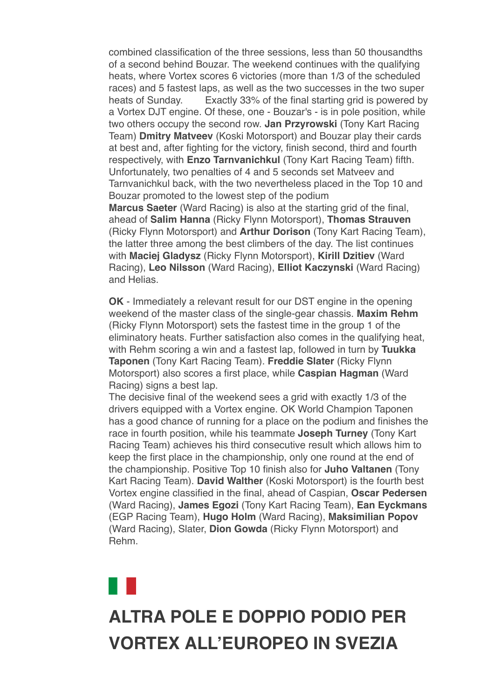combined classification of the three sessions, less than 50 thousandths of a second behind Bouzar. The weekend continues with the qualifying heats, where Vortex scores 6 victories (more than 1/3 of the scheduled races) and 5 fastest laps, as well as the two successes in the two super heats of Sunday. Exactly 33% of the final starting grid is powered by a Vortex DJT engine. Of these, one - Bouzar's - is in pole position, while two others occupy the second row. **Jan Przyrowski** (Tony Kart Racing Team) **Dmitry Matveev** (Koski Motorsport) and Bouzar play their cards at best and, after fighting for the victory, finish second, third and fourth respectively, with **Enzo Tarnvanichkul** (Tony Kart Racing Team) fifth. Unfortunately, two penalties of 4 and 5 seconds set Matveev and Tarnvanichkul back, with the two nevertheless placed in the Top 10 and Bouzar promoted to the lowest step of the podium

**Marcus Saeter** (Ward Racing) is also at the starting grid of the final, ahead of **Salim Hanna** (Ricky Flynn Motorsport), **Thomas Strauven** (Ricky Flynn Motorsport) and **Arthur Dorison** (Tony Kart Racing Team), the latter three among the best climbers of the day. The list continues with **Maciej Gladysz** (Ricky Flynn Motorsport), **Kirill Dzitiev** (Ward Racing), **Leo Nilsson** (Ward Racing), **Elliot Kaczynski** (Ward Racing) and Helias.

**OK** - Immediately a relevant result for our DST engine in the opening weekend of the master class of the single-gear chassis. **Maxim Rehm** (Ricky Flynn Motorsport) sets the fastest time in the group 1 of the eliminatory heats. Further satisfaction also comes in the qualifying heat, with Rehm scoring a win and a fastest lap, followed in turn by **Tuukka Taponen** (Tony Kart Racing Team). **Freddie Slater** (Ricky Flynn Motorsport) also scores a first place, while **Caspian Hagman** (Ward Racing) signs a best lap.

The decisive final of the weekend sees a grid with exactly 1/3 of the drivers equipped with a Vortex engine. OK World Champion Taponen has a good chance of running for a place on the podium and finishes the race in fourth position, while his teammate **Joseph Turney** (Tony Kart Racing Team) achieves his third consecutive result which allows him to keep the first place in the championship, only one round at the end of the championship. Positive Top 10 finish also for **Juho Valtanen** (Tony Kart Racing Team). **David Walther** (Koski Motorsport) is the fourth best Vortex engine classified in the final, ahead of Caspian, **Oscar Pedersen** (Ward Racing), **James Egozi** (Tony Kart Racing Team), **Ean Eyckmans** (EGP Racing Team), **Hugo Holm** (Ward Racing), **Maksimilian Popov** (Ward Racing), Slater, **Dion Gowda** (Ricky Flynn Motorsport) and Rehm.

## **ALTRA POLE E DOPPIO PODIO PER [VORTEX ALL'EUROPEO IN SVEZIA](data:text/html;charset=utf-8;base64,%20PGh0bWwgeG1sbnM9Imh0dHA6Ly93d3cudzMub3JnLzE5OTkveGh0bWwiIGNsYXNzPSJhcHBsZS1tYWlsLWltcGxpY2l0LWRhcmstc3VwcG9ydCIgc3R5bGU9Inpvb206IDE7Ij48aGVhZD48c3R5bGUgdHlwZT0idGV4dC9jc3MiPi8qCiAqICBNVUlXZWJEb2N1bWVudC5jc3MKICogIE1haWwKICoKICogIENvcHlyaWdodCAyMDEyIEFwcGxlIEluYy4gQWxsIHJpZ2h0cyByZXNlcnZlZC4gCiAqLwoKKiB7CiAgICAtd2Via2l0LXVzZXItbW9kaWZ5OiBpbml0aWFsICFpbXBvcnRhbnQ7Cn0KCmh0bWwgewogICAgZm9udDogMTIuMDAwMDAwcHggSGVsdmV0aWNhOwp9Cgpib2R5IHsKICAgIG1hcmdpbjogMThweCAyNXB4IDIycHg7CiAgICBwYWRkaW5nOiAwOwogICAgd29yZC13cmFwOiBicmVhay13b3JkOwogICAgd29yZC1icmVhazogYnJlYWstd29yZDsKIH0KCnRhYmxlIHsKICAgIHdvcmQtYnJlYWs6IG5vcm1hbDsKfQoKLyogQXR0YWNobWVudHMgKi8KCmltZy5BcHBsZS1zbWFsbC1pbWFnZSB7CiAgICB3aWR0aDozMjBweDsKfQoKaW1nLkFwcGxlLW1lZGl1bS1pbWFnZSB7CiAgICB3aWR0aDo2NDBweDsKfQoKaW1nLkFwcGxlLWxhcmdlLWltYWdlIHsKICAgIHdpZHRoOjEyODBweDsKfQoKQC13ZWJraXQta2V5ZnJhbWVzIEFwcGxlLWRpc2NyZXRlLXNwaW5uZXIgewogICAgLyogVGhlc2Uga2V5ZnJhbWVzIHRyeSB0byByZXByb2R1Y2UgdGhlIDE2IGRpc2NyZXRlIHN0ZXBzIHNlZW4gaW4gYSBzdGFuZGFyZCBzeXN0ZW0gcHJvZ3Jlc3MgaW5kaWNhdG9yLiAqLwogICAgMCUgewogICAgICAgIGJhY2tncm91bmQtaW1hZ2U6IHVybCgneC1idW5kbGUtcmVzb3VyY2U6SW5kZXRlcm1pbmF0ZVByb2dyZXNzU3Bpbm5lcjEucGRmJyk7CiAgICB9CiAgICA2LjI1MCUgewogICAgICAgIGJhY2tncm91bmQtaW1hZ2U6IHVybCgneC1idW5kbGUtcmVzb3VyY2U6SW5kZXRlcm1pbmF0ZVByb2dyZXNzU3Bpbm5lcjIucGRmJyk7CiAgICB9CiAgICAxMi41MDAlIHsKICAgICAgICBiYWNrZ3JvdW5kLWltYWdlOiB1cmwoJ3gtYnVuZGxlLXJlc291cmNlOkluZGV0ZXJtaW5hdGVQcm9ncmVzc1NwaW5uZXIzLnBkZicpOwogICAgfQogICAgMTguNzUwJSB7CiAgICAgICAgYmFja2dyb3VuZC1pbWFnZTogdXJsKCd4LWJ1bmRsZS1yZXNvdXJjZTpJbmRldGVybWluYXRlUHJvZ3Jlc3NTcGlubmVyNC5wZGYnKTsKICAgIH0KICAgIDI1LjAwMCUgewogICAgICAgIGJhY2tncm91bmQtaW1hZ2U6IHVybCgneC1idW5kbGUtcmVzb3VyY2U6SW5kZXRlcm1pbmF0ZVByb2dyZXNzU3Bpbm5lcjUucGRmJyk7CiAgICB9CiAgICAzMS4yNTAlIHsKICAgICAgICBiYWNrZ3JvdW5kLWltYWdlOiB1cmwoJ3gtYnVuZGxlLXJlc291cmNlOkluZGV0ZXJtaW5hdGVQcm9ncmVzc1NwaW5uZXI2LnBkZicpOwogICAgfQogICAgMzcuNTAwJSB7CiAgICAgICAgYmFja2dyb3VuZC1pbWFnZTogdXJsKCd4LWJ1bmRsZS1yZXNvdXJjZTpJbmRldGVybWluYXRlUHJvZ3Jlc3NTcGlubmVyNy5wZGYnKTsKICAgIH0KICAgIDQzLjc1MCUgewogICAgICAgIGJhY2tncm91bmQtaW1hZ2U6IHVybCgneC1idW5kbGUtcmVzb3VyY2U6SW5kZXRlcm1pbmF0ZVByb2dyZXNzU3Bpbm5lcjgucGRmJyk7CiAgICB9CiAgICA1MC4wMDAlIHsKICAgICAgICBiYWNrZ3JvdW5kLWltYWdlOiB1cmwoJ3gtYnVuZGxlLXJlc291cmNlOkluZGV0ZXJtaW5hdGVQcm9ncmVzc1NwaW5uZXI5LnBkZicpOwogICAgfQogICAgNTYuMjUwJSB7CiAgICAgICAgYmFja2dyb3VuZC1pbWFnZTogdXJsKCd4LWJ1bmRsZS1yZXNvdXJjZTpJbmRldGVybWluYXRlUHJvZ3Jlc3NTcGlubmVyMTAucGRmJyk7CiAgICB9CiAgICA2Mi41MDAlIHsKICAgICAgICBiYWNrZ3JvdW5kLWltYWdlOiB1cmwoJ3gtYnVuZGxlLXJlc291cmNlOkluZGV0ZXJtaW5hdGVQcm9ncmVzc1NwaW5uZXIxMS5wZGYnKTsKICAgIH0KICAgIDY4Ljc1MCUgewogICAgICAgIGJhY2tncm91bmQtaW1hZ2U6IHVybCgneC1idW5kbGUtcmVzb3VyY2U6SW5kZXRlcm1pbmF0ZVByb2dyZXNzU3Bpbm5lcjEyLnBkZicpOwogICAgfQogICAgNzUuMDAwJSB7CiAgICAgICAgYmFja2dyb3VuZC1pbWFnZTogdXJsKCd4LWJ1bmRsZS1yZXNvdXJjZTpJbmRldGVybWluYXRlUHJvZ3Jlc3NTcGlubmVyMTMucGRmJyk7CiAgICB9CiAgICA4MS4yNTAlIHsKICAgICAgICBiYWNrZ3JvdW5kLWltYWdlOiB1cmwoJ3gtYnVuZGxlLXJlc291cmNlOkluZGV0ZXJtaW5hdGVQcm9ncmVzc1NwaW5uZXIxNC5wZGYnKTsKICAgIH0KICAgIDg3LjUwMCUgewogICAgICAgIGJhY2tncm91bmQtaW1hZ2U6IHVybCgneC1idW5kbGUtcmVzb3VyY2U6SW5kZXRlcm1pbmF0ZVByb2dyZXNzU3Bpbm5lcjE1LnBkZicpOwogICAgfQogICAgOTMuNzUwJSB7CiAgICAgICAgYmFja2dyb3VuZC1pbWFnZTogdXJsKCd4LWJ1bmRsZS1yZXNvdXJjZTpJbmRldGVybWluYXRlUHJvZ3Jlc3NTcGlubmVyMTYucGRmJyk7CiAgICB9CiAgICAxMDAlIHsKICAgICAgICBiYWNrZ3JvdW5kLWltYWdlOiB1cmwoJ3gtYnVuZGxlLXJlc291cmNlOkluZGV0ZXJtaW5hdGVQcm9ncmVzc1NwaW5uZXIxLnBkZicpOwogICAgfQp9CgpkaXYuQXBwbGUtaW5kZXRlcm1pbmF0ZS1wcm9ncmVzcy1zcGlubmVyIHsKICAgIHdpZHRoOiAxNnB4OwogICAgaGVpZ2h0OiAxNnB4OwogICAgYmFja2dyb3VuZC1pbWFnZTogdXJsKCd4LWJ1bmRsZS1yZXNvdXJjZTpJbmRldGVybWluYXRlUHJvZ3Jlc3NTcGlubmVyMS5wZGYnKTsKICAgIGJhY2tncm91bmQtcmVwZWF0OiBuby1yZXBlYXQ7CiAgICBiYWNrZ3JvdW5kLXNpemU6IDEwMCUgMTAwJTsKICAgIC13ZWJraXQtYW5pbWF0aW9uLW5hbWU6IEFwcGxlLWRpc2NyZXRlLXNwaW5uZXI7CiAgICAtd2Via2l0LWFuaW1hdGlvbi1kdXJhdGlvbjogMXM7CiAgICAtd2Via2l0LWFuaW1hdGlvbi1pdGVyYXRpb24tY291bnQ6IGluZmluaXRlOwogICAgLXdlYmtpdC1hbmltYXRpb24tdGltaW5nLWZ1bmN0aW9uOiBzdGVwLXN0YXJ0Owp9CgovKiBMaXN0IFN0eWxlcyAqLwoKdWwuQXBwbGUtZGFzaC1saXN0LCB1bC5BcHBsZS1kYXNoLWxpc3QgdWwgewogICAgbGlzdC1zdHlsZS10eXBlOiBub25lOwp9CiAgICAKdWwuQXBwbGUtZGFzaC1saXN0IGxpOmJlZm9yZSB7CiAgICBjb250ZW50OiAiXDIwMTMiOwogICAgcG9zaXRpb246IGFic29sdXRlOwogICAgbWFyZ2luOiAwIC0xLjI1ZW07Cn0KCi8qIE9yZGVyZWQgTGlzdHM6IFN1cHBvcnQgOSBkZWVwLCBsaWtlIFBhZ2VzLCB0aGVuIGZhbGwgYmFjayB0byBkYXNoZXMgKi8Kb2wsIG9sIG9sIG9sIG9sLCBvbCBvbCBvbCBvbCBvbCBvbCBvbCB7CiAgICBsaXN0LXN0eWxlLXR5cGU6IGRlY2ltYWw7Cn0KCm9sIG9sLCBvbCBvbCBvbCBvbCBvbCwgb2wgb2wgb2wgb2wgb2wgb2wgb2wgb2wgewogICAgbGlzdC1zdHlsZS10eXBlOiBsb3dlci1hbHBoYTsKfQoKb2wgb2wgb2wsIG9sIG9sIG9sIG9sIG9sIG9sLCBvbCBvbCBvbCBvbCBvbCBvbCBvbCBvbCBvbCB7CiAgICBsaXN0LXN0eWxlLXR5cGU6IGxvd2VyLXJvbWFuOwp9CgpvbCBvbCBvbCBvbCBvbCBvbCBvbCBvbCBvbCBvbCB7CiAgICBsaXN0LXN0eWxlLXR5cGU6IG5vbmU7Cn0KCm9sIG9sIG9sIG9sIG9sIG9sIG9sIG9sIG9sIG9sIGxpOmJlZm9yZSB7CiAgICBjb250ZW50OiAiXDIwMTMiOwogICAgcG9zaXRpb246IGFic29sdXRlOwogICAgLXdlYmtpdC1tYXJnaW4tc3RhcnQ6IC0xLjI1ZW07Cn0KCi8qIE1haWwtc3BlY2lmaWMgU3R5bGVzICovCgphLngtYXBwbGUtbWFpbC1zZWUtbW9yZSwgYS54LWFwcGxlLW1haWwtc2VlLW1vcmUtZnJvbSB7CiAgICBmb250LXNpemU6IDEwcHg7CiAgICBmb250LWZhbWlseTogSGVsdmV0aWNhOwogICAgdGV4dC1kZWNvcmF0aW9uOiBub25lOwogICAgY29sb3I6IC1hcHBsZS1zeXN0ZW0tYmx1ZTsKICAgIC1hcHBsZS1jb2xvci1maWx0ZXI6IG5vbmU7Cn0KCmEueC1hcHBsZS1tYWlsLXNlZS1tb3JlIHsKICAgIGZvbnQtc2l6ZTogMTFweDsKICAgIGZvbnQtd2VpZ2h0OiBib2xkOwp9Cgpib2R5LkFwcGxlUGxhaW5UZXh0Qm9keSB7CiAgICAtd2Via2l0LW5ic3AtbW9kZTogc3BhY2U7CiAgICBmb250LXNpemU6IGluaGVyaXRweDsKICAgIGZvbnQtZmFtaWx5OiBpbmhlcml0Owp9Cgpib2R5LlNpbmdsZXRvbiB7CiAgICBtYXJnaW4tbGVmdDogMzZweDsKfQoKLngtYXBwbGUtbWFpbGRyb3BiYW5uZXIgewogICAgZGlzcGxheTogbm9uZTsKfQoKYmxvY2txdW90ZVt0eXBlPWNpdGVdIHsKICAgIHBhZGRpbmctbGVmdDogOHB4OwogICAgbWFyZ2luOiAwOwogICAgYm9yZGVyLWxlZnQtd2lkdGg6IDJweDsKICAgIGJvcmRlci1sZWZ0LXN0eWxlOiBzb2xpZDsKICAgIGJvcmRlci1sZWZ0LWNvbG9yOiByZ2JhKDg4LCA4NiwgMjE0LCAyNTUpOwogICAgY29sb3I6IHJnYmEoODgsIDg2LCAyMTQsIDI1NSk7Cn0KCmJsb2NrcXVvdGVbdHlwZT1jaXRlXSBibG9ja3F1b3RlW3R5cGU9Y2l0ZV0gewogICAgYm9yZGVyLWxlZnQtd2lkdGg6IDJweDsKICAgIGJvcmRlci1sZWZ0LXN0eWxlOiBzb2xpZDsKICAgIGJvcmRlci1sZWZ0LWNvbG9yOiByZ2JhKDAsIDE3NSwgMjA1LCAyNTUpOwogICAgY29sb3I6IHJnYmEoMCwgMTc1LCAyMDUsIDI1NSk7Cn0KCmJsb2NrcXVvdGVbdHlwZT1jaXRlXSBibG9ja3F1b3RlW3R5cGU9Y2l0ZV0gYmxvY2txdW90ZVt0eXBlPWNpdGVdIHsKICAgIGJvcmRlci1sZWZ0LXdpZHRoOiAycHg7CiAgICBib3JkZXItbGVmdC1zdHlsZTogc29saWQ7CiAgICBib3JkZXItbGVmdC1jb2xvcjogcmdiYSgxOCwgMTkyLCAxNCwgMjU1KTsKICAgIGNvbG9yOiByZ2JhKDE4LCAxOTIsIDE0LCAyNTUpOwp9CgppbWcuQXBwbGUtd2ViLWF0dGFjaG1lbnQgewogICAgdmVydGljYWwtYWxpZ246IHRvcCAhaW1wb3J0YW50OwogICAgbWF4LXdpZHRoOiAxMDAlICFpbXBvcnRhbnQ7Cn0KCnZpZGVvLkFwcGxlLXdlYi1hdHRhY2htZW50IHsKICAgIG1heC13aWR0aDogMTAwJSAhaW1wb3J0YW50Owp9CgppbWcuQXBwbGUtZWRnZS10by1lZGdlLXZpc3VhbC1tZWRpYSwgdmlkZW8uQXBwbGUtZWRnZS10by1lZGdlLXZpc3VhbC1tZWRpYSB7CiAgICBkaXNwbGF5OiBibG9jazsKICAgIG1heC13aWR0aDogY2FsYygxMDAlICsgNTBweCkgIWltcG9ydGFudDsKICAgIG1hcmdpbjogMCAtMjVweDsKfQoKaW1nLkFwcGxlLWVkZ2UtdG8tZWRnZS12aXN1YWwtbWVkaWEuU2luZ2xldG9uLCB2aWRlby5BcHBsZS1lZGdlLXRvLWVkZ2UtdmlzdWFsLW1lZGlhLlNpbmdsZXRvbiB7CiAgICBkaXNwbGF5OiBibG9jazsKICAgIG1heC13aWR0aDogY2FsYygxMDAlICsgNjFweCkgIWltcG9ydGFudDsKICAgIG1hcmdpbjogMCAtMjVweCAwIC0zNnB4Owp9CgoKLyogTWVkaWEgUXVlcnkgT3ZlcnJpZGVzIChMZWF2ZSBhdCBib3R0b20pICovCgpAbWVkaWEgc2NyZWVuIGFuZCAocHJlZmVycy1jb2xvci1zY2hlbWU6IGRhcmspIHsKICAgIC8qIEltcGxpY2l0IChjb2xvci1maWx0ZXJlZCkgZGFyayBtb2RlICovCiAgICA6cm9vdC5hcHBsZS1tYWlsLWltcGxpY2l0LWRhcmstc3VwcG9ydCB7CiAgICAgICAgLWFwcGxlLWNvbG9yLWZpbHRlcjogYXBwbGUtaW52ZXJ0LWxpZ2h0bmVzcygpOwogICAgICAgIC0tcXVvdGUtYmFyLWNvbG9yLWxldmVsLTE6IC1hcHBsZS1zeXN0ZW0tcHVycGxlOwogICAgICAgIC0tcXVvdGUtdGV4dC1jb2xvci1sZXZlbC0xOiAtYXBwbGUtc3lzdGVtLXB1cnBsZTsKICAgICAgICAtLXF1b3RlLWJhci1jb2xvci1sZXZlbC0yOiByZ2JhKDAsIDE3NSwgMjA1LCAyNTUpOwogICAgICAgIC0tcXVvdGUtdGV4dC1jb2xvci1sZXZlbC0yOiByZ2JhKDAsIDE3NSwgMjA1LCAyNTUpOwogICAgICAgIC0tcXVvdGUtYmFyLWNvbG9yLWxldmVsLTM6IHJnYmEoMTgsIDE5MiwgMTQsIDI1NSk7CiAgICAgICAgLS1xdW90ZS10ZXh0LWNvbG9yLWxldmVsLTM6IHJnYmEoMTgsIDE5MiwgMTQsIDI1NSk7CiAgICB9CgogICAgLyogRXhwbGljaXQgKGRlY2xhcmVkKSBkYXJrIG1vZGUgKi8KICAgIDpyb290Om5vdCguYXBwbGUtbWFpbC1pbXBsaWNpdC1kYXJrLXN1cHBvcnQpIHsKICAgICAgICAtLXF1b3RlLWJhci1jb2xvci1sZXZlbC0xOiAtYXBwbGUtc3lzdGVtLXB1cnBsZTsKICAgICAgICAtLXF1b3RlLXRleHQtY29sb3ItbGV2ZWwtMTogLWFwcGxlLXN5c3RlbS1wdXJwbGU7CiAgICAgICAgLS1xdW90ZS1iYXItY29sb3ItbGV2ZWwtMjogcmdiYSgwLCAyMDAsIDI1MCwgMjU1KTsKICAgICAgICAtLXF1b3RlLXRleHQtY29sb3ItbGV2ZWwtMjogcmdiYSgwLCAyMDAsIDI1MCwgMjU1KTsKICAgICAgICAtLXF1b3RlLWJhci1jb2xvci1sZXZlbC0zOiByZ2JhKDg3LCAyMTcsIDExOSwgMjU1KTsKICAgICAgICAtLXF1b3RlLXRleHQtY29sb3ItbGV2ZWwtMzogcmdiYSg4NywgMjE3LCAxMTksIDI1NSk7CiAgICB9CgogICAgYmxvY2txdW90ZVt0eXBlPWNpdGVdIHsKICAgICAgICBib3JkZXItbGVmdC1jb2xvcjogdmFyKC0tcXVvdGUtYmFyLWNvbG9yLWxldmVsLTEpOwogICAgICAgIGNvbG9yOiB2YXIoLS1xdW90ZS10ZXh0LWNvbG9yLWxldmVsLTEpOwogICAgfQoKICAgIGJsb2NrcXVvdGVbdHlwZT1jaXRlXSBibG9ja3F1b3RlW3R5cGU9Y2l0ZV0gewogICAgICAgIGJvcmRlci1sZWZ0LWNvbG9yOiB2YXIoLS1xdW90ZS1iYXItY29sb3ItbGV2ZWwtMik7CiAgICAgICAgY29sb3I6IHZhcigtLXF1b3RlLXRleHQtY29sb3ItbGV2ZWwtMik7CiAgICB9CgogICAgYmxvY2txdW90ZVt0eXBlPWNpdGVdIGJsb2NrcXVvdGVbdHlwZT1jaXRlXSBibG9ja3F1b3RlW3R5cGU9Y2l0ZV0gewogICAgICAgIGJvcmRlci1sZWZ0LWNvbG9yOiB2YXIoLS1xdW90ZS1iYXItY29sb3ItbGV2ZWwtMyk7CiAgICAgICAgY29sb3I6IHZhcigtLXF1b3RlLXRleHQtY29sb3ItbGV2ZWwtMyk7CiAgICB9Cn0KCi8qIFByaW50IFN0eWxlcyAqLwoKQG1lZGlhIHByaW50IHsKICAgIGJvZHkgewogICAgICAgIGZvbnQtc2l6ZTogODAlOwogICAgICAgIHBhZGRpbmc6IDA7CiAgICAgICAgbWFyZ2luOiAwOwogICAgfQp9Ci5NYWlsT3V0bGluZSB7IG1hcmdpbi10b3A6MDsgbWFyZ2luLWJvdHRvbTowOyB9Cjwvc3R5bGU+CjxtZXRhIGh0dHAtZXF1aXY9IkNvbnRlbnQtVHlwZSIgY29udGVudD0idGV4dC9odG1sOyBjaGFyc2V0PXV0Zi04Ij4KPHRpdGxlPlZPUlRFWDwvdGl0bGU+CjxzdHlsZSB0eXBlPSJ0ZXh0L2NzcyI+CiN0aXRvbG94IHsKCWZvbnQtc2l6ZTogMjRweDsKCWZvbnQtZmFtaWx5OiBBcmlhbCwgSGVsdmV0aWNhLCBzYW5zLXNlcmlmOwoJY29sb3I6ICMwMDRiOTU7Cn0KPC9zdHlsZT4KPC9oZWFkPgoKPGJvZHkgYmdjb2xvcj0iI2ZmZmZmZiIgY2xhc3M9IlNpbmdsZXRvbiI+CjxzdHlsZT4KYm9keSB7IG1hcmdpbjowcHg7IH0KPC9zdHlsZT4KPCEtLSA8cCBzdHlsZT0idGV4dC1hbGlnbjpjZW50ZXI7IGZvbnQtZmFtaWx5OiBBcmlhbCwgc2Fucy1zZXJpZjsgZm9udC1zaXplOjEzcHg7Ij5TZSBub24gdmlzdWFsaXp6aSBjb3JyZXR0YW1lbnRlIHF1ZXN0YSBlLW1haWwgPGEgaHJlZj0iIyIgc3R5bGU9ImZvbnQtd2VpZ2h0OmJvbGQ7IHRleHQtZGVjb3JhdGlvbjpub25lOyBjb2xvcjogIzAwNGI5NSI+Y2xpY2NhIHF1aTwvYT48L3A+IC0tPgo8dGFibGUgd2lkdGg9IjEwMCUiIGJvcmRlcj0iMCIgY2VsbHNwYWNpbmc9IjAiIGNlbGxwYWRkaW5nPSIwIiBiZ2NvbG9yPSIjZmZmZmZmIj4KICA8dGJvZHk+PHRyPgogIDx0ZCBhbGlnbj0iY2VudGVyIj48L3RkPgogIDwvdHI+CiAgPHRyPgogICAgPHRkPgogICAgICA8dGFibGUgd2lkdGg9IjYwMCIgYm9yZGVyPSIwIiBjZWxsc3BhY2luZz0iMCIgY2VsbHBhZGRpbmc9IjAiIGJnY29sb3I9IiNGRkZGRkYiIGFsaWduPSJjZW50ZXIiPgogICAgICAgIDx0Ym9keT48dHI+CiAgICAgICAgICA8dGQgYmdjb2xvcj0iIzAwNGI5NSI+CiAgICAgICAgICA8IS0tIGhlYWRlciAtLT4KICAgICAgICAgICAgPHRhYmxlIGJvcmRlcj0iMCIgd2lkdGg9IjYwMCIgaGVpZ2h0PSI2MCIgY2VsbHNwYWNpbmc9IjAiIGNlbGxwYWRkaW5nPSIwIiBhbGlnbj0iY2VudGVyIj4KICAgICAgICAgICAgPHRib2R5Pjx0cj4KICAgICAgICAgICAgCTx0ZCB2YWxpZ249InRvcCI+CiAgICAgICAgICAgICAgICAJPHRhYmxlIGJvcmRlcj0iMCIgY2VsbHBhZGRpbmc9IjAiIGNlbGxzcGFjaW5nPSIwIiBhbGlnbj0iY2VudGVyIiB3aWR0aD0iNjAwIiBiYWNrZ3JvdW5kPSIjMDA0Yjk1Ij4KICAgICAgICAgICAgICAgICAgICA8dGJvZHk+PHRyPgogICAgICAgICAgICAgICAgICAgIAk8dGQgdmFsaWduPSJtaWRkbGUiIHN0eWxlPSJwYWRkaW5nLWxlZnQ6MjBweCI+CiAgICAgICAgICAgICAgICAgICAgICAgIAk8YSBocmVmPSIjIj48aW1nIHNyYz0iaHR0cDovL25ld3NsZXR0ZXIudG9ueWthcnQuY29tL2ltYWdlcy92b3J0ZXgvbG9nby5wbmciIHdpZHRoPSIxMTEiIGhlaWdodD0iNjgiIGFsdD0iIiBib3JkZXI9IjAiPjwvYT4KICAgICAgICAgICAgICAgICAgPC90ZD4KICAgICAgICAgICAgICAgICAgICAJPHRkIHZhbGlnbj0ibWlkZGxlIj4KICAgICAgICAgICAgICAgICAgICAgICAgCTx0YWJsZSBib3JkZXI9IjAiIGJnY29sb3I9IiMwMDRiOTUiIGNlbGxwYWRkaW5nPSIwIiBjZWxsc3BhY2luZz0iMCIgYWxpZ249InJpZ2h0Ij4KICAgICAgICAgICAgICAgICAgICAgICAgICAgIDx0Ym9keT48dHI+CiAgICAgICAgICAgICAgICAgICAgICAgICAgICAgICAgPHRkIGNsYXNzPSJjZW50ZXIiIHN0eWxlPSJmb250LXNpemU6IDEzcHg7IGNvbG9yOiAjMDA0Yjk1OyBmb250LXdlaWdodDogbGlnaHQ7IHRleHQtYWxpZ246IHJpZ2h0OyBmb250LWZhbWlseTogJ09wZW4gU2FucycsIEhlbHZldGljYSwgQXJpYWwsIHNhbnMtc2VyaWY7IGxpbmUtaGVpZ2h0OiAyMHB4OyB2ZXJ0aWNhbC1hbGlnbjogbWlkZGxlOyBwYWRkaW5nOjZweCAyMHB4IDBweCAyMHB4OyBmb250LXN0eWxlOml0YWxpYyI+CiAgICAgICAgICAgICAgICAgICAgICAgICAgICAgICAgICAgIDwhLS0gPGEgaHJlZj0iIyI+PGltZyBzcmM9Imh0dHA6Ly9uZXdzbGV0dGVyLnRvbnlrYXJ0LmNvbS9pbWFnZXMvdm9ydGV4L3NvY2lhbF9mYWNlYm9vay5wbmciIGJvcmRlcj0iMCIgYWx0PSIiPjwvYT4KICAgICAgICAgICAgICAgICAgICAgICAgICAgICAgICAgICAgJm5ic3A7Jm5ic3A7Jm5ic3A7CiAgICAgICAgICAgICAgICAgICAgICAgICAgICAgICAgICAgIDxhIGhyZWY9IiMiPjxpbWcgc3JjPSJodHRwOi8vbmV3c2xldHRlci50b255a2FydC5jb20vaW1hZ2VzL3ZvcnRleC9zb2NpYWxfdHdpdHRlci5wbmciIGJvcmRlcj0iMCIgYWx0PSIiPjwvYT4KICAgICAgICAgICAgICAgICAgICAgICAgICAgICAgICAgICAgJm5ic3A7Jm5ic3A7Jm5ic3A7IC0tPgogICAgICAgICAgICAgICAgICAgICAgICAgICAgICAgICAgICA8YSBocmVmPSJodHRwczovL3d3dy5pbnN0YWdyYW0uY29tL3ZvcnRleGVuZ2luZXNvZmZpY2lhbC8iPjxpbWcgc3JjPSJodHRwOi8vbmV3c2xldHRlci50b255a2FydC5jb20vaW1hZ2VzL3ZvcnRleC9zb2NpYWxfaW5zdGFncmFtLnBuZyIgYm9yZGVyPSIwIiBhbHQ9IiI+PC9hPgogICAgICAgICAgICAgICAgICAgICAgICAgICAgICAgICAgICA8IS0tICZuYnNwOyZuYnNwOyZuYnNwOwogICAgICAgICAgICAgICAgICAgICAgICAgICAgICAgICAgICA8YSBocmVmPSIjIj48aW1nIHNyYz0iaHR0cDovL25ld3NsZXR0ZXIudG9ueWthcnQuY29tL2ltYWdlcy92b3J0ZXgvc29jaWFsX3lvdXR1YmUucG5nIiBib3JkZXI9IjAiIGFsdD0iIj48L2E+IC0tPgogICAgICAgICAgICAgICAgICAgICAgICAgICAgICAgIDwvdGQ+CiAgICAgICAgICAgICAgICAgICAgICAgICAgICA8L3RyPgogICAgICAgICAgICAgICAgICAgICAgICAJPC90Ym9keT48L3RhYmxlPgogICAgICAgICAgICAgICAgICAgICAgICA8L3RkPgogICAgICAgICAgICAgICAgICAgIDwvdHI+CiAgICAgICAgICAgICAgICAgICAgPC90Ym9keT48L3RhYmxlPgogICAgICAgICAgICAgICAgPC90ZD4KICAgICAgICAgICAgPC90cj4KICAgICAgICAgICAgPHRyPgogICAgICAgICAgICAgIDx0ZCB2YWxpZ249InRvcCI+CiAgICAgICAgICAgICAgICA8aW1nIHNyYz0iaHR0cDovL25ld3NsZXR0ZXIudG9ueWthcnQuY29tL2FsbGVnYXRpX3RlbXBsYXRlLzIwMjIvMjAyMjA2MDgtMTQxMjE1MS90ZXN0YXRhLmpwZWciIGFsdD0iIiB3aWR0aD0iNjAyIiBoZWlnaHQ9IjI1MiIgc3R5bGU9IndpZHRoOjYwMnB4OyBoZWlnaHQ6MjUycHg7Ij4KICAgICAgICAgICAgICA8L3RkPgogICAgICAgICAgICA8L3RyPgogICAgICAgICAgICA8L3Rib2R5PjwvdGFibGU+CiAgICAgICAgICA8IS0tIC5oZWFkZXIgLS0+CiAgICAgICAgICA8L3RkPgogICAgICAgIDwvdHI+CiAgICAgICAgPHRyPgogICAgICAgICAgPHRkPgogICAgICAgICAgCTx0YWJsZSB3aWR0aD0iMTAwJSIgYm9yZGVyPSIwIiBjZWxsc3BhY2luZz0iMCIgY2VsbHBhZGRpbmc9IjAiPgogICAgICAgICAgICAgIDx0Ym9keT48dHI+CiAgICAgICAgICAgICAgICA8dGQgd2lkdGg9IjEwJSI+Jm5ic3A7PC90ZD4KICAgICAgICAgICAgICAgIDx0ZCB3aWR0aD0iODAlIiBhbGlnbj0ibGVmdCIgdmFsaWduPSJ0b3AiPgogICAgICAgICAgICAgICAgCTx0YWJsZSB3aWR0aD0iMTAwJSIgYm9yZGVyPSIwIiBjZWxsc3BhY2luZz0iMCIgY2VsbHBhZGRpbmc9IjAiPgogICAgICAgICAgICAgICAgICAgIAk8dGJvZHk+PHRyPgoJICAgICAgICAgICAgICAgICAgICAgIDx0ZD4mbmJzcDs8L3RkPgogICAgCSAgICAgICAgICAgICAgICA8L3RyPgogICAgICAgIAkgICAgICAgICAgICA8dHI+CiAgICAgICAgICAgIAkgICAgICAgICAgPHRkIGFsaWduPSJsZWZ0IiB2YWxpZ249InRvcCI+CiAgICAgICAgICAgICAgICAJICAgICAgICA8dGFibGUgd2lkdGg9IjEwMCUiIGJvcmRlcj0iMCIgY2VsbHNwYWNpbmc9IjAiIGNlbGxwYWRkaW5nPSIwIj4KICAgICAgICAgICAgICAgICAgICAgICAgICAgICAgPHRib2R5Pjx0cj4KICAgICAgICAgICAgICAgICAgICAgICAgICAgICAgICA8dGQgaGVpZ2h0PSIzNSIgYWxpZ249ImxlZnQiIHZhbGlnbj0ibWlkZGxlIj4KCiAgICAgICAgICAgICAgICAgICAgICAgICAgICAgICAgICAJPHRhYmxlIGJvcmRlcj0iMCIgd2lkdGg9IjEwMCUiIGNlbGxwYWRkaW5nPSIwIiBjZWxsc3BhY2luZz0iMCI+CiAgICAgICAgICAgICAgICAgICAgICAgICAgICAgICAgICAJPHRib2R5Pjx0cj4KICAgICAgICAgICAgICAgICAgICAgICAgICAgICAgICAgIAkJPHRkIHdpZHRoPSI4MCIgYWxpZ249ImxlZnQiIHZhbGlnbj0ibWlkZGxlIiBzdHlsZT0icGFkZGluZy10b3A6MTBweDsgcGFkZGluZy1ib3R0b206IDEwcHg7IGJvcmRlci1ib3R0b206IDlweCBzb2xpZCAjMDA0Yjk1Ij48Zm9udCBzdHlsZT0idGV4dC1kZWNvcmF0aW9uOiBub25lOyBmb250LXNpemU6IDE1cHg7IGNvbG9yOiAjM2EzYTNhOyBmb250LWZhbWlseTonT3BlbiBTYW5zJywgSGVsdmV0aWNhLCBBcmlhbCwgc2Fucy1zZXJpZjsiPjA4LzA2LzIwMjI8L2ZvbnQ+CiAgICAgICAgICAgICAgICAgICAgICAgICAgICAgICAgICAgIAk8L3RkPgogICAgICAgICAgICAgICAgICAgICAgICAgICAgICAgICAgICAgICAgPHRkIGFsaWduPSJyaWdodCIgdmFsaWduPSJtaWRkbGUiPiZuYnNwOzwvdGQ+CiAgICAgICAgICAgICAgICAgICAgICAgICAgICAgICAgICAgCTwvdHI+CiAgICAgICAgICAgICAgICAgICAgICAgICAgICAgICAgICA8L3Rib2R5PjwvdGFibGU+CgogICAgICAgICAgICAgICAgICAgICAgICAgICAgICAgIDwvdGQ+CiAgICAgICAgICAgICAgICAgICAgICAgICAgICAgIDwvdHI+CiAgICAgICAgICAgICAgICAgICAgICAgICAgICAgIDx0cj48dGQ+Jm5ic3A7PC90ZD48L3RyPgoKICAgICAgICAgICAgICAgICAgICAgICAgICAgICAgICAgICAgICAgICAgICAgICAgICAgICAgICAgICAgPHRyPgogICAgICAgICAgICAgICAgICAgICAgICAgICAgICAgIDx0ZCBoZWlnaHQ9IjQwIiBhbGlnbj0ibGVmdCIgdmFsaWduPSJtaWRkbGUiIHN0eWxlPSJwYWRkaW5nLXRvcDoxMHB4OyBwYWRkaW5nLWJvdHRvbToxMHB4OyI+CiAgICAgICAgICAgICAgICAgICAgICAgICAgICAgICAgICAgIDwhLS0gaGVhZGxpbmUgLS0+CiAgICAgICAgICAgICAgICAgICAgICAgICAgICAgICAgICA8aW1nIHNyYz0iaHR0cDovL25ld3NsZXR0ZXIudG9ueWthcnQuY29tL2ltYWdlcy92b3J0ZXgvZmxhZy1lbi5naWYiIGFsdD0iIj48YnI+PGJyPgogICAgICAgICAgICAgICAgICAgICAgICAgICAgICAgICAgICA8YSBocmVmPSIjIiBzdHlsZT0idGV4dC1kZWNvcmF0aW9uOiBub25lOyI+PGZvbnQgc3R5bGU9ImxpbmUtaGVpZ2h0OiA0MHB4OyBmb250LXNpemU6IDI2cHg7IGNvbG9yOiAjM2EzYTNhOyBmb250LXdlaWdodDogYm9sZDsgZm9udC1mYW1pbHk6J09wZW4gU2FucycsIEhlbHZldGljYSwgQXJpYWwsIHNhbnMtc2VyaWY7Ij5PTkUgTU9SRSBQT0xFIFBPU0lUSU9OIEFORCBBIERPVUJMRSBQT0RJVU0gRk9SIFZPUlRFWCBBVCBUSEUgU1dFRElTSCBFVVJPUEVBTiBDSEFNUElPTlNISVA8L2ZvbnQ+PC9hPgoKICAgICAgICAgICAgICAgICAgICAgICAgICAgICAgICA8L3RkPgogICAgICAgICAgICAgICAgICAgICAgICAgICAgICA8L3RyPgogICAgICAgICAgICAgICAgICAgICAgICAgICAgICA8dHI+CiAgICAgICAgICAgICAgICAgICAgICAgICAgICAgIAk8dGQgYWxpZ249ImxlZnQiIHZhbGlnbj0idG9wIj4KICAgICAgICAgICAgICAgICAgICAgICAgICAgICAgICAJPHRhYmxlIHdpZHRoPSIxMDAlIiBib3JkZXI9IjAiIGNlbGxwYWRkaW5nPSIwIiBjZWxsc3BhY2luZz0iMCI+CiAgICAgICAgICAgICAgICAgICAgICAgICAgICAgICAgICAgIAk8dGJvZHk+PHRyPjx0ZCBjbGFzcz0icHJvdmEiPiZuYnNwOzwvdGQ+PC90cj4KICAgICAgICAgICAgICAgICAgICAgICAgICAgICAgICAgICAgCTx0cj4KICAgICAgICAgICAgICAgICAgICAgICAgICAgICAgICAgICAgICAgIAk8dGQgdmFsaWduPSJ0b3AiPgogICAgICAgICAgICAgICAgICAgICAgICAgICAgICAgICAgICAgICAgICAgIAk8cCBzdHlsZT0ibXNvLXRhYmxlLWxzcGFjZTowO21zby10YWJsZS1yc3BhY2U6MDsgbWFyZ2luOjAiPiA8c3BhbiBpZD0idGl0b2xveCI+PC9zcGFuPjwvcD48L3RkPgogICAgICAgICAgICAgICAgICAgICAgICAgICAgICAgICAgICAgICAgPC90cj4KICAgICAgICAgICAgICAgICAgICAgICAgICAgICAgICAgICAgICAgIDx0cj4KICAgICAgICAgICAgICAgICAgICAgICAgICAgICAgICAgICAgICAgIAk8dGQgdmFsaWduPSJtaWRkbGUiIHN0eWxlPSJib3JkZXItYm90dG9tOjFweCBzb2xpZCAjYzljOWM5OyI+Jm5ic3A7PC90ZD4KICAgICAgICAgICAgICAgICAgICAgICAgICAgICAgICAgICAgICAgIDwvdHI+CiAgICAgICAgICAgICAgICAgICAgICAgICAgICAgICAgICAgICAgICA8dHI+CiAgICAgICAgICAgICAgICAgICAgICAgICAgICAgICAgICAgICAgICAJPHRkIHZhbGlnbj0ibWlkZGxlIj4mbmJzcDs8L3RkPgogICAgICAgICAgICAgICAgICAgICAgICAgICAgICAgICAgICAgICAgPC90cj4KICAgICAgICAgICAgICAgICAgICAgICAgICAgICAgICAgICAgICAgIDx0cj4KICAgICAgICAgICAgICAgICAgICAgICAgICAgICAgICAgICAgICAgIAk8dGQgdmFsaWduPSJ0b3AiPgogICAgICAgICAgICAgICAgICAgICAgICAgICAgICAgICAgICAgICAgICAgICAgICA8cCBzdHlsZT0ibXNvLXRhYmxlLWxzcGFjZTowO21zby10YWJsZS1yc3BhY2U6MDsgbWFyZ2luOjAiPjxmb250IHN0eWxlPSJmb250LXNpemU6IDE1cHg7IGxpbmUtaGVpZ2h0OjE4cHg7IHRleHQtYWxpZ246IGxlZnQ7IGZvbnQtZmFtaWx5OiAnT3BlbiBTYW5zIExpZ2h0JywgSGVsdmV0aWNhLCBBcmlhbCwgc2Fucy1zZXJpZjsgY29sb3I6IzQzNDM0MyI+PC9mb250PjwvcD48cD48Zm9udCBzdHlsZT0iZm9udC1zaXplOiAxNXB4OyBsaW5lLWhlaWdodDoxOHB4OyB0ZXh0LWFsaWduOiBsZWZ0OyBmb250LWZhbWlseTogJ09wZW4gU2FucyBMaWdodCcsIEhlbHZldGljYSwgQXJpYWwsIHNhbnMtc2VyaWY7IGNvbG9yOiM0MzQzNDMiPk9uIHRoZSBvY2Nhc2lvbiBvZiB0aGUgdGhpcmQgcm91bmQgb2YgdGhlIEZJQSBLYXJ0aW5nIEV1cm9wZWFuIENoYW1waW9uc2hpcCBhdCBLcmlzdGlhbnN0YWQgKFN3ZWRlbiksIGRvdWJsZSBwb2RpdW0gZm9yIG91ciBESlQgZW5naW5lIGluIE9LSiBjbGFzcywgYWxzbyBnYWluaW5nIHRoZSBwb2xlIHBvc2l0aW9uLiBQb3NpdGl2ZSB0cmVuZCBhbHNvIGluIE9LIGNhdGVnb3J5LCB3aXRoIHRoZSBEU1QgZW5naW5lIGF0IHRoZSBsZWFkIG9mIHRoZSBjaGFtcGlvbnNoaXAuPC9mb250PjwvcD48Zm9udCBzdHlsZT0iZm9udC1zaXplOiAxNXB4OyBsaW5lLWhlaWdodDoxOHB4OyB0ZXh0LWFsaWduOiBsZWZ0OyBmb250LWZhbWlseTogJ09wZW4gU2FucyBMaWdodCcsIEhlbHZldGljYSwgQXJpYWwsIHNhbnMtc2VyaWY7IGNvbG9yOiM0MzQzNDMiPgo8cD48c3Ryb25nPk9LSjwvc3Ryb25nPiDigJMgVGhpcmQgY29uc2VjdXRpdmUgcG9sZSBwb3NpdGlvbiBmb3Igb3VyIERKVCBlbmdpbmUgaW4gdGhlICJKdW5pb3IiIGNhdGVnb3J5IG9mIHRoZSBzaW5nbGUtZ2VhciBrYXJ0cyBvbiB0aGUgb2NjYXNpb24gb2YgdGhlIEV1cm9wZWFuIENoYW1waW9uc2hpcC4gPHN0cm9uZz5HdWlsbGF1bWUgQm91emFyPC9zdHJvbmc+IChLb3NraSBNb3RvcnNwb3J0KSByZXBlYXRzIHRoZSBhY2hpZXZlbWVudCBvZiBadWVyYSBvbmNlIG1vcmUgcmVhY2hpbmcgdGhlIHRvcCBvZiB0aGUgY2xhc3NpZmljYXRpb24gd2l0aCB0aGUgYmVzdCBxdWFsaWZ5aW5nIHRpbWVzLCBmaXJzdCBpbiBncm91cCAzLiA8c3Ryb25nPkppbW15IEhlbGlhczwvc3Ryb25nPiAoVG9ueSBLYXJ0IFJhY2luZyBUZWFtKSBhbHNvIGV4Y2VscyBpbiBoaXMgZ3JvdXAgMSBhbmQgZ2V0cyB0aGUgdGhpcmQgcGxhY2UgaW4gdGhlIGNvbWJpbmVkIGNsYXNzaWZpY2F0aW9uIG9mIHRoZSB0aHJlZSBzZXNzaW9ucywgbGVzcyB0aGFuIDUwIHRob3VzYW5kdGhzIG9mIGEgc2Vjb25kIGJlaGluZCBCb3V6YXIuIFRoZSB3ZWVrZW5kIGNvbnRpbnVlcyB3aXRoIHRoZSBxdWFsaWZ5aW5nIGhlYXRzLCB3aGVyZSBWb3J0ZXggc2NvcmVzIDYgdmljdG9yaWVzIChtb3JlIHRoYW4gMS8zIG9mIHRoZSBzY2hlZHVsZWQgcmFjZXMpIGFuZCA1IGZhc3Rlc3QgbGFwcywgYXMgd2VsbCBhcyB0aGUgdHdvIHN1Y2Nlc3NlcyBpbiB0aGUgdHdvIHN1cGVyIGhlYXRzIG9mIFN1bmRheS4mbmJzcDsmbmJzcDsmbmJzcDsmbmJzcDsmbmJzcDsmbmJzcDsmbmJzcDsgRXhhY3RseSAzMyUgb2YgdGhlIGZpbmFsIHN0YXJ0aW5nIGdyaWQgaXMgcG93ZXJlZCBieSBhIFZvcnRleCBESlQgZW5naW5lLiBPZiB0aGVzZSwgb25lIC0gQm91emFyJ3MgLSBpcyBpbiBwb2xlIHBvc2l0aW9uLCB3aGlsZSB0d28gb3RoZXJzIG9jY3VweSB0aGUgc2Vjb25kIHJvdy4gPHN0cm9uZz5KYW4gUHJ6eXJvd3NraTwvc3Ryb25nPiAoVG9ueSBLYXJ0IFJhY2luZyBUZWFtKSA8c3Ryb25nPkRtaXRyeSBNYXR2ZWV2PC9zdHJvbmc+IChLb3NraSBNb3RvcnNwb3J0KSBhbmQgQm91emFyIHBsYXkgdGhlaXIgY2FyZHMgYXQgYmVzdCBhbmQsIGFmdGVyIGZpZ2h0aW5nIGZvciB0aGUgdmljdG9yeSwgZmluaXNoIHNlY29uZCwgdGhpcmQgYW5kIGZvdXJ0aCByZXNwZWN0aXZlbHksIHdpdGggPHN0cm9uZz5FbnpvIFRhcm52YW5pY2hrdWw8L3N0cm9uZz4gKFRvbnkgS2FydCBSYWNpbmcgVGVhbSkgZmlmdGguIFVuZm9ydHVuYXRlbHksIHR3byBwZW5hbHRpZXMgb2YgNCBhbmQgNSBzZWNvbmRzIHNldCBNYXR2ZWV2IGFuZCBUYXJudmFuaWNoa3VsIGJhY2ssIHdpdGggdGhlIHR3byBuZXZlcnRoZWxlc3MgcGxhY2VkIGluIHRoZSBUb3AgMTAgYW5kIEJvdXphciBwcm9tb3RlZCB0byB0aGUgbG93ZXN0IHN0ZXAgb2YgdGhlIHBvZGl1bTxicj4gPHN0cm9uZz5NYXJjdXMgU2FldGVyPC9zdHJvbmc+IChXYXJkIFJhY2luZykgaXMgYWxzbyBhdCB0aGUgc3RhcnRpbmcgZ3JpZCBvZiB0aGUgZmluYWwsIGFoZWFkIG9mIDxzdHJvbmc+U2FsaW0gSGFubmEgPC9zdHJvbmc+KFJpY2t5IEZseW5uIE1vdG9yc3BvcnQpLCA8c3Ryb25nPlRob21hcyBTdHJhdXZlbjwvc3Ryb25nPiAoUmlja3kgRmx5bm4gTW90b3JzcG9ydCkgYW5kIDxzdHJvbmc+QXJ0aHVyIERvcmlzb248L3N0cm9uZz4gKFRvbnkgS2FydCBSYWNpbmcgVGVhbSksIHRoZSBsYXR0ZXIgdGhyZWUgYW1vbmcgdGhlIGJlc3QgY2xpbWJlcnMgb2YgdGhlIGRheS4gVGhlIGxpc3QgY29udGludWVzIHdpdGggPHN0cm9uZz5NYWNpZWogR2xhZHlzejwvc3Ryb25nPiAoUmlja3kgRmx5bm4gTW90b3JzcG9ydCksIDxzdHJvbmc+S2lyaWxsIER6aXRpZXY8L3N0cm9uZz4gKFdhcmQgUmFjaW5nKSwgPHN0cm9uZz5MZW8gTmlsc3Nvbjwvc3Ryb25nPiAoV2FyZCBSYWNpbmcpLCA8c3Ryb25nPkVsbGlvdCBLYWN6eW5za2k8L3N0cm9uZz4gKFdhcmQgUmFjaW5nKSBhbmQgSGVsaWFzLjwvcD4KPHA+PHN0cm9uZz5PSzwvc3Ryb25nPiAtIEltbWVkaWF0ZWx5IGEgcmVsZXZhbnQgcmVzdWx0IGZvciBvdXIgRFNUIGVuZ2luZSBpbiB0aGUgb3BlbmluZyB3ZWVrZW5kIG9mIHRoZSBtYXN0ZXIgY2xhc3Mgb2YgdGhlIHNpbmdsZS1nZWFyIGNoYXNzaXMuIDxzdHJvbmc+TWF4aW0gUmVobTwvc3Ryb25nPiAoUmlja3kgRmx5bm4gTW90b3JzcG9ydCkgc2V0cyB0aGUgZmFzdGVzdCB0aW1lIGluIHRoZSBncm91cCAxIG9mIHRoZSBlbGltaW5hdG9yeSBoZWF0cy4gRnVydGhlciBzYXRpc2ZhY3Rpb24gYWxzbyBjb21lcyBpbiB0aGUgcXVhbGlmeWluZyBoZWF0LCB3aXRoIFJlaG0gc2NvcmluZyBhIHdpbiBhbmQgYSBmYXN0ZXN0IGxhcCwgZm9sbG93ZWQgaW4gdHVybiBieSA8c3Ryb25nPlR1dWtrYSBUYXBvbmVuPC9zdHJvbmc+IChUb255IEthcnQgUmFjaW5nIFRlYW0pLiA8c3Ryb25nPkZyZWRkaWUgU2xhdGVyPC9zdHJvbmc+IChSaWNreSBGbHlubiBNb3RvcnNwb3J0KSBhbHNvIHNjb3JlcyBhIGZpcnN0IHBsYWNlLCB3aGlsZSA8c3Ryb25nPkNhc3BpYW4gSGFnbWFuPC9zdHJvbmc+IChXYXJkIFJhY2luZykgc2lnbnMgYSBiZXN0IGxhcC48YnI+IFRoZSBkZWNpc2l2ZSBmaW5hbCBvZiB0aGUgd2Vla2VuZCBzZWVzIGEgZ3JpZCB3aXRoIGV4YWN0bHkgMS8zIG9mIHRoZSBkcml2ZXJzIGVxdWlwcGVkIHdpdGggYSBWb3J0ZXggZW5naW5lLiBPSyBXb3JsZCBDaGFtcGlvbiBUYXBvbmVuIGhhcyBhIGdvb2QgY2hhbmNlIG9mIHJ1bm5pbmcgZm9yIGEgcGxhY2Ugb24gdGhlIHBvZGl1bSBhbmQgZmluaXNoZXMgdGhlIHJhY2UgaW4gZm91cnRoIHBvc2l0aW9uLCB3aGlsZSBoaXMgdGVhbW1hdGUgPHN0cm9uZz5Kb3NlcGggVHVybmV5PC9zdHJvbmc+IChUb255IEthcnQgUmFjaW5nIFRlYW0pIGFjaGlldmVzIGhpcyB0aGlyZCBjb25zZWN1dGl2ZSByZXN1bHQgd2hpY2ggYWxsb3dzIGhpbSB0byBrZWVwIHRoZSBmaXJzdCBwbGFjZSBpbiB0aGUgY2hhbXBpb25zaGlwLCBvbmx5IG9uZSByb3VuZCBhdCB0aGUgZW5kIG9mIHRoZSBjaGFtcGlvbnNoaXAuIFBvc2l0aXZlIFRvcCAxMCBmaW5pc2ggYWxzbyBmb3IgPHN0cm9uZz5KdWhvIFZhbHRhbmVuPC9zdHJvbmc+IChUb255IEthcnQgUmFjaW5nIFRlYW0pLiA8c3Ryb25nPkRhdmlkIFdhbHRoZXI8L3N0cm9uZz4gKEtvc2tpIE1vdG9yc3BvcnQpIGlzIHRoZSBmb3VydGggYmVzdCBWb3J0ZXggZW5naW5lIGNsYXNzaWZpZWQgaW4gdGhlIGZpbmFsLCBhaGVhZCBvZiBDYXNwaWFuLCA8c3Ryb25nPk9zY2FyIFBlZGVyc2VuPC9zdHJvbmc+IChXYXJkIFJhY2luZyksIDxzdHJvbmc+SmFtZXMgRWdvemk8L3N0cm9uZz4gKFRvbnkgS2FydCBSYWNpbmcgVGVhbSksIDxzdHJvbmc+RWFuIEV5Y2ttYW5zPC9zdHJvbmc+IChFR1AgUmFjaW5nIFRlYW0pLCA8c3Ryb25nPkh1Z28gSG9sbTwvc3Ryb25nPiAoV2FyZCBSYWNpbmcpLCA8c3Ryb25nPk1ha3NpbWlsaWFuIFBvcG92PC9zdHJvbmc+IChXYXJkIFJhY2luZyksIFNsYXRlciwgPHN0cm9uZz5EaW9uIEdvd2RhPC9zdHJvbmc+IChSaWNreSBGbHlubiBNb3RvcnNwb3J0KSBhbmQgUmVobS48L3A+PC9mb250PgogICAgICAgICAgICAgICAgICAgICAgICAgICAgICAgICAgICAgICAgICAgICAgICA8cD48L3A+CiAgICAgICAgICAgICAgICAgICAgICAgICAgICAgICAgICAgICAgICAgICAgPC90ZD4KICAgICAgICAgICAgICAgICAgICAgICAgICAgICAgICAgICAgICAgIDwvdHI+CiAgICAgICAgICAgICAgICAgICAgICAgICAgICAgICAgICAgICAgICA8dHI+PHRkPiZuYnNwOzwvdGQ+PC90cj4KICAgICAgICAgICAgICAgICAgICAgICAgICAgICAgICAgICAgICAgIDx0cj48dGQ+Jm5ic3A7PC90ZD48L3RyPgogICAgICAgICAgICAgICAgICAgICAgICAgICAgICAgICAgICAgICAgCiAgICAgICAgICAgICAgICAgICAgICAgICAgICAgICAgICAgIDwvdGJvZHk+PC90YWJsZT4KICAgICAgICAgICAgICAgICAgICAgICAgICAgICAgICA8L3RkPgogICAgICAgICAgICAgICAgICAgICAgICAgICAgICA8L3RyPgogICAgICAgICAgICAgICAgICAgICAgICAgICAgICAgICAgICAgICAgICAgICAgICAgICAgICAgICAgICA8dHI+CiAgICAgICAgICAgICAgICAgICAgICAgICAgICAgICAgPHRkIGhlaWdodD0iNDAiIGFsaWduPSJsZWZ0IiB2YWxpZ249Im1pZGRsZSIgc3R5bGU9InBhZGRpbmctdG9wOjEwcHg7IHBhZGRpbmctYm90dG9tOjEwcHg7Ij4KICAgICAgICAgICAgICAgICAgICAgICAgICAgICAgICAgICAgPCEtLSBoZWFkbGluZSAtLT4KICAgICAgICAgICAgICAgICAgICAgICAgICAgICAgICAgICAgPGJyPjxicj48aW1nIHNyYz0iaHR0cDovL25ld3NsZXR0ZXIudG9ueWthcnQuY29tL2ltYWdlcy92b3J0ZXgvZmxhZy1pdC5naWYiIGFsdD0iIj48YnI+PGJyPgogICAgICAgICAgICAgICAgICAgICAgICAgICAgICAgICAgICA8YSBocmVmPSIjIiBzdHlsZT0idGV4dC1kZWNvcmF0aW9uOiBub25lOyI+PGZvbnQgc3R5bGU9ImxpbmUtaGVpZ2h0OiA0MHB4OyBmb250LXNpemU6IDI2cHg7IGNvbG9yOiAjM2EzYTNhOyBmb250LXdlaWdodDogYm9sZDsgZm9udC1mYW1pbHk6J09wZW4gU2FucycsIEhlbHZldGljYSwgQXJpYWwsIHNhbnMtc2VyaWY7Ij5BTFRSQSBQT0xFIEUgRE9QUElPIFBPRElPIFBFUiBWT1JURVggQUxM4oCZRVVST1BFTyBJTiBTVkVaSUE8L2ZvbnQ+PC9hPgoKICAgICAgICAgICAgICAgICAgICAgICAgICAgICAgICA8L3RkPgogICAgICAgICAgICAgICAgICAgICAgICAgICAgICA8L3RyPgogICAgICAgICAgICAgICAgICAgICAgICAgICAgICA8dHI+CiAgICAgICAgICAgICAgICAgICAgICAgICAgICAgIAk8dGQgYWxpZ249ImxlZnQiIHZhbGlnbj0idG9wIj4KICAgICAgICAgICAgICAgICAgICAgICAgICAgICAgICAJPHRhYmxlIHdpZHRoPSIxMDAlIiBib3JkZXI9IjAiIGNlbGxwYWRkaW5nPSIwIiBjZWxsc3BhY2luZz0iMCI+CiAgICAgICAgICAgICAgICAgICAgICAgICAgICAgICAgICAgIAk8dGJvZHk+PHRyPjx0ZD4mbmJzcDs8L3RkPjwvdHI+CiAgICAgICAgICAgICAgICAgICAgICAgICAgICAgICAgICAgIAk8dHI+CiAgICAgICAgICAgICAgICAgICAgICAgICAgICAgICAgICAgICAgICAJPHRkIHZhbGlnbj0idG9wIj4KICAgICAgICAgICAgICAgICAgICAgICAgICAgICAgICAgICAgICAgICAgIAk8cCBzdHlsZT0ibXNvLXRhYmxlLWxzcGFjZTowO21zby10YWJsZS1yc3BhY2U6MDsgbWFyZ2luOjAiPjxzcGFuIGlkPSJ0aXRvbG94Ij48L3NwYW4+PC9wPjwvdGQ+CiAgICAgICAgICAgICAgICAgICAgICAgICAgICAgICAgICAgICAgICA8L3RyPgogICAgICAgICAgICAgICAgICAgICAgICAgICAgICAgICAgICAgICAgPHRyPgogICAgICAgICAgICAgICAgICAgICAgICAgICAgICAgICAgICAgICAgCTx0ZCB2YWxpZ249Im1pZGRsZSIgc3R5bGU9ImJvcmRlci1ib3R0b206MXB4IHNvbGlkICNjOWM5Yzk7Ij4mbmJzcDs8L3RkPgogICAgICAgICAgICAgICAgICAgICAgICAgICAgICAgICAgICAgICAgPC90cj4KICAgICAgICAgICAgICAgICAgICAgICAgICAgICAgICAgICAgICAgIDx0cj4KICAgICAgICAgICAgICAgICAgICAgICAgICAgICAgICAgICAgICAgIAk8dGQgdmFsaWduPSJtaWRkbGUiPiZuYnNwOzwvdGQ+CiAgICAgICAgICAgICAgICAgICAgICAgICAgICAgICAgICAgICAgICA8L3RyPgogICAgICAgICAgICAgICAgICAgICAgICAgICAgICAgICAgICAgICAgPHRyPgogICAgICAgICAgICAgICAgICAgICAgICAgICAgICAgICAgICAgICAgCTx0ZCB2YWxpZ249InRvcCI+CiAgICAgICAgICAgICAgICAgICAgICAgICAgICAgICAgICAgICAgICAgICAgICAgIDxwIHN0eWxlPSJtc28tdGFibGUtbHNwYWNlOjA7bXNvLXRhYmxlLXJzcGFjZTowOyBtYXJnaW46MCI+PGZvbnQgc3R5bGU9ImZvbnQtc2l6ZTogMTVweDsgbGluZS1oZWlnaHQ6MThweDsgdGV4dC1hbGlnbjogbGVmdDsgZm9udC1mYW1pbHk6ICdPcGVuIFNhbnMgTGlnaHQnLCBIZWx2ZXRpY2EsIEFyaWFsLCBzYW5zLXNlcmlmOyBjb2xvcjojNDM0MzQzIj48L2ZvbnQ+PC9wPjxwPjxmb250IHN0eWxlPSJmb250LXNpemU6IDE1cHg7IGxpbmUtaGVpZ2h0OjE4cHg7IHRleHQtYWxpZ246IGxlZnQ7IGZvbnQtZmFtaWx5OiAnT3BlbiBTYW5zIExpZ2h0JywgSGVsdmV0aWNhLCBBcmlhbCwgc2Fucy1zZXJpZjsgY29sb3I6IzQzNDM0MyI+QWwgdGVyem8gcm91bmQgZGVsIEZJQSBLYXJ0aW5nIEV1cm9wZWFuIENoYW1waW9uc2hpcCBhIEtyaXN0aWFuc3RhZCAoU3ZlemlhKSwgZG9wcGlvIGFycml2byBzdWwgcG9kaW8gcGVyIGlsIG5vc3RybyBtb3RvcmUgREpUIG5lbGxhIE9LSiwgYXV0b3JlIGFuY2hlIGRlbGxhIHBvbGUgcG9zaXRpb24uIFRyZW5kIHBvc2l0aXZvIGFuY2hlIGluIE9LLCBjb24gaWwgbW90b3JlIERTVCBpbiB0ZXN0YSBhbCBjYW1waW9uYXRvLjwvZm9udD48L3A+PGZvbnQgc3R5bGU9ImZvbnQtc2l6ZTogMTVweDsgbGluZS1oZWlnaHQ6MThweDsgdGV4dC1hbGlnbjogbGVmdDsgZm9udC1mYW1pbHk6ICdPcGVuIFNhbnMgTGlnaHQnLCBIZWx2ZXRpY2EsIEFyaWFsLCBzYW5zLXNlcmlmOyBjb2xvcjojNDM0MzQzIj4KPHA+PHN0cm9uZz5PS0o8L3N0cm9uZz4g4oCTIFRlcnphIHBvbGUgcG9zaXRpb24gY29uc2VjdXRpdmEgcGVyIGlsIG5vc3RybyBtb3RvcmUgREpUIG5lbGxhIGNhdGVnb3JpYSDigJxKdW5pb3LigJ0gZGVpIGthcnQgbW9ub21hcmNpYSBhbCBjYW1waW9uYXRvIGV1cm9wZW8uIDxzdHJvbmc+R3VpbGxhdW1lIEJvdXphciA8L3N0cm9uZz4oS29za2kgTW90b3JzcG9ydCkgcmlwZXRlIGzigJlpbXByZXNhIGRpIFp1ZXJhIHBpYXp6YW5kb3NpIGRpIG51b3ZvIGluIGNpbWEgYWxsYSBjbGFzc2lmaWNhIGRlaSBtaWdsaW9yaSB0ZW1waSBkZWxsZSBxdWFsaWZpY2hlLCBwcmltbyBuZWwgZ3J1cHBvIDMuIEFuY2hlIDxzdHJvbmc+SmltbXkgSGVsaWFzPC9zdHJvbmc+IChUb255IEthcnQgUmFjaW5nIFRlYW0pIHByaW1lZ2dpYSBuZWwgcHJvcHJpbyBncnVwcG8gMSBlIHJpc3VsdGEgdGVyem8gbmVsbGEgY2xhc3NpZmljYSBjb21iaW5hdGEgZGVsbGUgdHJlIHNlc3Npb25pLCBhIG1lbm8gZGkgNTAgbWlsbGVzaW1pIGRpIHNlY29uZG8gZGEgQm91emFyLiBJbCB3ZWVrZW5kIHByb3NlZ3VlIGNvbiBsZSBxdWFsaWZ5aW5nIGhlYXQsIGRvdmUgVm9ydGV4IHNlZ25hIDYgdml0dG9yaWUgKHBpw7kgZGkgMS8zIGRlbGxlIGdhcmUgaW4gcHJvZ3JhbW1hKSBlIDUgZ2lyaSB2ZWxvY2ksIG9sdHJlIGNoZSBjb24gaSBkdWUgc3VjY2Vzc2kgbmVsbGUgZHVlIHN1cGVyIGhlYXQgZGkgZG9tZW5pY2EuPGJyPiBFc2F0dGFtZW50ZSBpbCAzMyUgZGVsbG8gc2NoaWVyYW1lbnRvIGRpIHBhcnRlbnphIGRlbGxhIGZpbmFsZSDDqCBtb3Rvcml6emF0byBjb24gdW4gcHJvcHVsc29yZSBESlQgZGkgVm9ydGV4LiBEaSBxdWVzdGksIHVubyDigJMgcXVlbGxvIGRpIEJvdXphciDigJMgw6ggaW4gcG9sZSBwb3NpdGlvbiwgbWVudHJlIGFsdHJpIGR1ZSBvY2N1cGFubyBsYSBzZWNvbmRhIGZpbGEuIDxzdHJvbmc+SmFuIFByenlyb3dza2k8L3N0cm9uZz4gKFRvbnkgS2FydCBSYWNpbmcgVGVhbSkgPHN0cm9uZz5EbWl0cnkgTWF0dmVldjwvc3Ryb25nPiAoS29za2kgTW90b3JzcG9ydCkgZSBCb3V6YXIgZ2lvY2FubyBhbCBtZWdsaW8gbGUgcHJvcHJpZSBjYXJ0ZSBlLCBkb3BvIGF2ZXIgY2VyY2F0byBsYSB2aXR0b3JpYSwgc2kgY2xhc3NpZmljYW5vIHJpc3BldHRpdmFtZW50ZSBzZWNvbmRvLCB0ZXJ6byBlIHF1YXJ0bywgY29uIDxzdHJvbmc+RW56byBUYXJudmFuaWNoa3VsPC9zdHJvbmc+IChUb255IEthcnQgUmFjaW5nIFRlYW0pIHF1aW50by4gUHVydHJvcHBvLCBkdWUgcGVuYWxpdMOgIGRpIDQgZSA1IHNlY29uZGkgYXJyZXRyYW5vIE1hdHZlZXYgZSBUYXJudmFuaWNoa3VsLCBjb24gaSBkdWUgY29tdW5xdWUgcG9zaXppb25hdGkgaW4gVG9wIDEwIGUgY29uIEJvdXphciBwcm9tb3NzbyBzdWwgZ3JhZGlubyBwacO5IGJhc3NvIGRlbCBwb2Rpby48YnI+IEFsIHZpYSBkZWxsYSBmaW5hbGUgYW5jaGUgPHN0cm9uZz5NYXJjdXMgU2FldGVyPC9zdHJvbmc+IChXYXJkIFJhY2luZyksIGNoZSBwcmVjZWRlIGluIGNsYXNzaWZpY2EgPHN0cm9uZz5TYWxpbSBIYW5uYSA8L3N0cm9uZz4oUmlja3kgRmx5bm4gTW90b3JzcG9ydCksIDxzdHJvbmc+VGhvbWFzIFN0cmF1dmVuIDwvc3Ryb25nPihSaWNreSBGbHlubiBNb3RvcnNwb3J0KSBlIDxzdHJvbmc+QXJ0aHVyIERvcmlzb248L3N0cm9uZz4gKFRvbnkgS2FydCBSYWNpbmcgVGVhbSksIHF1ZXN04oCZdWx0aW1pIHRyZSB0cmEgaSBtaWdsaW9yaSBzY2FsYXRvcmkgZGkgZ2lvcm5hdGEuIExhIGxpc3RhIHByb3NlZ3VlIGNvbiA8c3Ryb25nPk1hY2llaiBHbGFkeXN6PC9zdHJvbmc+IChSaWNreSBGbHlubiBNb3RvcnNwb3J0KSwgPHN0cm9uZz5LaXJpbGwgRHppdGlldiA8L3N0cm9uZz4oV2FyZCBSYWNpbmcpLCA8c3Ryb25nPkxlbyBOaWxzc29uPC9zdHJvbmc+IChXYXJkIFJhY2luZyksIDxzdHJvbmc+RWxsaW90IEthY3p5bnNraSA8L3N0cm9uZz4oV2FyZCBSYWNpbmcpIGVkIEhlbGlhcy48L3A+CjxwPjxzdHJvbmc+T0s8L3N0cm9uZz4g4oCTIFN1Yml0byB1biByaXN1bHRhdG8gcmlsZXZhbnRlIHBlciBpbCBub3N0cm8gbW90b3JlIERTVCBuZWxs4oCZYXBlcnR1cmEgZGVsIHdlZWtlbmQgZGVsbGEgY2xhc3NlIHJlZ2luYSBkZWkga2FydCBtb25vbWFyY2lhLiA8c3Ryb25nPk1heGltIFJlaG08L3N0cm9uZz4gKFJpY2t5IEZseW5uIE1vdG9yc3BvcnQpIMOoIGF1dG9yZSBkZWwgbWlnbGlvciB0ZW1wbyBuZWwgZ3J1cHBvIDEgZGkgcXVhbGlmaWNhemlvbmUuIFVsdGVyaW9yaSBzb2RkaXNmYXppb25pIGFycml2YW5vIGFuY2hlIG5lbCBjb3JzbyBkZWxsZSBxdWFsaWZ5aW5nIGhlYXQsIGNvbiBSZWhtIGF1dG9yZSBkaSB1bmEgdml0dG9yaWEgZSBkaSB1biBnaXJvIHZlbG9jZSwgZW11bGF0byBhIHN1YSB2b2x0YSBkYSA8c3Ryb25nPlR1dWtrYSBUYXBvbmVuPC9zdHJvbmc+IChUb255IEthcnQgUmFjaW5nIFRlYW0pLiBBbmNoZSA8c3Ryb25nPkZyZWRkaWUgU2xhdGVyPC9zdHJvbmc+IChSaWNreSBGbHlubiBNb3RvcnNwb3J0KSBvdHRpZW5lIHVuIHByaW1vIHBvc3RvLCBtZW50cmUgPHN0cm9uZz5DYXNwaWFuIEhhZ21hbjwvc3Ryb25nPiAoV2FyZCBSYWNpbmcpIG1ldHRlIGEgc2Vnbm8gdW4gYmVzdCBsYXAuPGJyPiBMYSBkZWNpc2l2YSBmaW5hbGUgZGVsIHdlZWtlbmQgdmVkZSB1bmEgZ3JpZ2xpYSBkaSBwYXJ0ZW56YSBjb24gdW4gMS8zIGVzYXR0byBkZWkgcGFydGVjaXBhbnRpIGVxdWlwYWdnaWF0aSBjb24gdW4gbW90b3JlIFZvcnRleC4gSWwgY2FtcGlvbmUgZGVsIG1vbmRvIE9LIGluIGNhcmljYSBUYXBvbmVuIGhhIG90dGltZSBjaGFuY2UgcGVyIGdpb2NhcnNpIHVuIHBvc3RvIHN1bCBwb2RpbyBlIHRlcm1pbmEgbGEgY29yc2EgaW4gcXVhcnRhIHBvc2l6aW9uZSwgbWVudHJlIGlsIGNvbXBhZ25vIGRpIHNxdWFkcmEgPHN0cm9uZz5Kb3NlcGggVHVybmV5PC9zdHJvbmc+IChUb255IEthcnQgUmFjaW5nIFRlYW0pIG90dGllbmUgaWwgdGVyem8gcmlzdWx0YXRvIHV0aWxlIGNvbnNlY3V0aXZvIGNoZSBnbGkgcGVybWV0dGUgZGkgY29uc2VydmFyZSBpbCBwcmltbyBwb3N0byBpbiBjYW1waW9uYXRvLCBjb24gdW4gc29sbyByb3VuZCBkYWwgdGVybWluZS4gUG9zaXRpdm8gYXJyaXZvIGluIFRvcCAxMCBhbmNoZSBwZXIgPHN0cm9uZz5KdWhvIFZhbHRhbmVuPC9zdHJvbmc+IChUb255IEthcnQgUmFjaW5nIFRlYW0pLjxicj4gPHN0cm9uZz5EYXZpZCBXYWx0aGVyPC9zdHJvbmc+IChLb3NraSBNb3RvcnNwb3J0KSDDqCBpbCBxdWFydG8gbWlnbGlvciBtb3RvcmUgVm9ydGV4IGNsYXNzaWZpY2F0byBpbiBmaW5hbGUsIGRhdmFudGkgYSBDYXNwaWFuLCA8c3Ryb25nPk9zY2FyIFBlZGVyc2VuPC9zdHJvbmc+IChXYXJkIFJhY2luZyksIDxzdHJvbmc+SmFtZXMgRWdvemk8L3N0cm9uZz4gKFRvbnkgS2FydCBSYWNpbmcgVGVhbSksIDxzdHJvbmc+RWFuIEV5Y2ttYW5zPC9zdHJvbmc+IChFR1AgUmFjaW5nIFRlYW0pLCA8c3Ryb25nPkh1Z28gSG9sbTwvc3Ryb25nPiAoV2FyZCBSYWNpbmcpLCA8c3Ryb25nPk1ha3NpbWlsaWFuIFBvcG92PC9zdHJvbmc+IChXYXJkIFJhY2luZyksIFNsYXRlciwgPHN0cm9uZz5EaW9uIEdvd2RhPC9zdHJvbmc+IChSaWNreSBGbHlubiBNb3RvcnNwb3J0KSBlIFJlaG0uPC9wPjwvZm9udD4KICAgICAgICAgICAgICAgICAgICAgICAgICAgICAgICAgICAgICAgICAgICAgICAgPHA+PC9wPgogICAgICAgICAgICAgICAgICAgICAgICAgICAgICAgICAgICAgICAgICAgIDwvdGQ+CiAgICAgICAgICAgICAgICAgICAgICAgICAgICAgICAgICAgICAgICA8L3RyPgogICAgICAgICAgICAgICAgICAgICAgICAgICAgICAgICAgICAgICAgPHRyPjx0ZD4mbmJzcDs8L3RkPjwvdHI+CiAgICAgICAgICAgICAgICAgICAgICAgICAgICAgICAgICAgICAgICA8dHI+PHRkPiZuYnNwOzwvdGQ+PC90cj4KICAgICAgICAgICAgICAgICAgICAgICAgICAgICAgICAgICAgICAgICAgICAgICAgICAgICAgICAgICAgICAgICAgICAgICAgICAgICAgICA8dHI+CiAgICAgICAgICAgICAgICAgICAgICAgICAgICAgICAgICAgICAgICAgIDx0ZCBhbGlnbj0iY2VudGVyIj4KICAgICAgICAgICAgICAgICAgICAgICAgICAgICAgICAgICAgICAgICAgICAgICAgICAgICAgICAgICAgICAgICAgICAgICAgICAgICAgICAgICAgPHRhYmxlIHdpZHRoPSIyNDQiIHN0eWxlPSJ3aWR0aDoyMjRweCI+CiAgICAgICAgICAgICAgICAgICAgICAgICAgICAgICAgICAgICAgICAgIDx0Ym9keT48dHI+CiAgICAgICAgICAgICAgICAgICAgICAgICAgICAgICAgICAgICAgICAgICAgICAgIDx0ZCB3aWR0aD0iNDQiIHZhbGlnbj0ibWlkZGxlIj48YSBocmVmPSJodHRwOi8vbmV3c2xldHRlci50b255a2FydC5jb20vYWxsZWdhdGlfdGVtcGxhdGUvMjAyMi8yMDIyMDYwOC0xNDEyMTUxLzI1ODBfMzEwMS5qcGciPjxpbWcgc3JjPSJodHRwOi8vbmV3c2xldHRlci50b255a2FydC5jb20vaW1hZ2VzL3ZvcnRleC9ibHUtbWluaS5naWYiIGFsdD0iIj48L2E+PC90ZD4KICAgICAgICAgICAgICAgICAgICAgICAgICAgICAgICAgICAgICAgICAgICAgICAgPHRkIHdpZHRoPSIyMDAiIHZhbGlnbj0ibWlkZGxlIj48YSBocmVmPSJodHRwOi8vbmV3c2xldHRlci50b255a2FydC5jb20vYWxsZWdhdGlfdGVtcGxhdGUvMjAyMi8yMDIyMDYwOC0xNDEyMTUxLzI1ODBfMzEwMS5qcGciIHN0eWxlPSJsaW5lLWhlaWdodDo0NHB4OyBjb2xvcjojMDA0Yjk1OyB0ZXh0LWRlY29yYXRpb246IG5vbmU7IGZvbnQtc2l6ZTogMTRweDsgZm9udC13ZWlnaHQ6Ym9sZDsgZm9udC1mYW1pbHk6IEFyaWFsLCBzYW5zLXNlcmlmOyI+UEhPVE8gPC9hPjwvdGQ+CiAgICAgICAgICAgICAgICAgICAgICAgICAgICAgICAgICAgICAgICAgICAgICA8L3RyPgogICAgICAgICAgICAgICAgICAgICAgICAgICAgICAgICAgICAgICAgICAgIDwvdGJvZHk+PC90YWJsZT4KICAgICAgICAgICAgICAgICAgICAgICAgICAgICAgICAgICAgICAgICAgICAgICAgICAgICAgICAgICAgICAgICAgICAgICAgICAgICAgICAgICAgICAgIDwvdGQ+CiAgICAgICAgICAgICAgICAgICAgICAgICAgICAgICAgICAgICAgICA8L3RyPgogICAgICAgICAgICAgICAgICAgICAgICAgICAgICAgICAgICA8L3Rib2R5PjwvdGFibGU+CiAgICAgICAgICAgICAgICAgICAgICAgICAgICAgICAgPC90ZD4KICAgICAgICAgICAgICAgICAgICAgICAgICAgICAgPC90cj4KICAgICAgICAgICAgICAgICAgICAgICAgICAgIDwvdGJvZHk+PC90YWJsZT4KICAgICAgICAgICAgICAgICAgICAgICAgPC90ZD4KICAgICAgICAgICAgICAgICAgICAgIDwvdHI+CiAgICAgICAgICAgICAgICAgICAgPC90Ym9keT48L3RhYmxlPgogICAgICAgICAgICAgICAgPC90ZD4KICAgICAgICAgICAgICAgIDx0ZCB3aWR0aD0iMTAlIj4mbmJzcDs8L3RkPgogICAgICAgICAgICAgIDwvdHI+CiAgICAgICAgICAgIDwvdGJvZHk+PC90YWJsZT4KICAgICAgICAgIDwvdGQ+CiAgICAgICAgPC90cj4KICAgICAgICA8dHI+CiAgICAgICAgICA8dGQ+Jm5ic3A7PC90ZD4KICAgICAgICA8L3RyPgogICAgICAgIDx0cj4KICAgICAgICAgIDx0ZD4mbmJzcDs8L3RkPgogICAgICAgIDwvdHI+CiAgICAgICAgPHRyPgogICAgICAgICAgPHRkPiZuYnNwOzwvdGQ+CiAgICAgICAgPC90cj4KICAgICAgICA8dHI+CiAgICAgICAgICA8dGQ+CiAgICAgICAgICA8IS0tIGZvb3RlciAtLT4KCQkJPHRhYmxlIGJnY29sb3I9IiNkN2Q3ZDciIHdpZHRoPSI1ODAiIGhlaWdodD0iMTUwIiBjZWxscGFkZGluZz0iMCIgY2VsbHNwYWNpbmc9IjIwIiBib3JkZXI9IjAiIGFsaWduPSJjZW50ZXIiPgogICAgICAgICAgICAJPHRib2R5Pjx0cj4KICAgICAgICAgICAgICAgIAk8dGQgdmFsaWduPSJ0b3AiIGFsaWduPSJsZWZ0IiB3aWR0aD0iNDAlIiBzdHlsZT0icGFkZGluZy10b3A6MTBweDsgcGFkZGluZy1yaWdodDoyMHB4OyBib3JkZXItcmlnaHQ6MXB4IHNvbGlkICM2MjYyNjI7Ij4KICAgICAgICAgICAgICAgICAgICAJPHRhYmxlIGJvcmRlcj0iMCIgY2VsbHBhZGRpbmc9IjEwIiBjZWxsc3BhY2luZz0iMCIgYWxpZ249InJpZ2h0Ij4KICAgICAgICAgICAJICA8dGJvZHk+PHRyPgogICAgICAgICAgICAgICAgICAgICAgICAgICAgCTx0ZCB2YWxpZ249InRvcCIgYWxpZ249ImxlZnQiPgogICAgICAgICAgICAgICAgICAgICAgICAgICAgICAgIAk8YSBocmVmPSIjIiBzdHlsZT0idGV4dC1kZWNvcmF0aW9uOiBub25lOyBmb250LXNpemU6IDEycHg7IGNvbG9yOiAjM2EzYTNhOyBmb250LXdlaWdodDogYm9sZDsgZm9udC1mYW1pbHk6J09wZW4gU2FucycsIEhlbHZldGljYSwgQXJpYWwsIHNhbnMtc2VyaWYgIj53d3cudm9ydGV4LWVuZ2luZXMuY29tPGJyPgogICAgICAgICAgICAgICAgICAgICAgICAgICAgICAgCSAgPC9hPgogICAgICAgICAgICAgICAgICAgICAgICAgICAgPHAgc3R5bGU9ImZvbnQtZmFtaWx5OidPcGVuIFNhbnMnLCBIZWx2ZXRpY2EsIEFyaWFsLCBzYW5zLXNlcmlmOyBjb2xvcjojM2EzYTNhOyB0ZXh0LWFsaWduOmxlZnQ7IGZvbnQtc2l6ZTogMTJweDsgbGluZS1oZWlnaHQ6MTdweCI+CiAgICAgICAgICAgICAgICAgICAgICAgICAgICAgIDxzdHJvbmc+RmFjdG9yeSBWb3J0ZXg8L3N0cm9uZz48YnI+CiAgICAgICAgICAgICAgICAgICAgICAgICAgICAgIFZpYSBFbnJpY28gRmVybWksIDUgPGJyPgogICAgICAgICAgICAgICAgICAgICAgICAgICAgICAyNzA0MCAgCiAgICAgICAgICAgICAgICAgICAgICAgICAgICAgIENhbXBvc3Bpbm9zbyAoUFYpPGJyPgogICAgICAgICAgICAgICAgICAgICAgICAgICAgICBJdGFseQogICAgICAgICAgICAgICAgICAgICAgICAgICAgICA8YnI+CiAgICAgICAgICAgICAgICAgICAgICAgICAgICAgIGluZm9Adm9ydGV4LWVuZ2luZXMuY29tPGJyPgogICAgICAgICAgICAgICAgICAgICAgICAgICAgICB0ZWwuICszOSAwMzg1IDc2NTIwMDwvcD4KICAgICAgICAgICAgICAgIDwvdGQ+CiAgICAgICAgICAgICAgPC90cj4KICAgICAgICAgICAgPC90Ym9keT48L3RhYmxlPgo8L3RkPgogICAgICAgICAgICAgICAgCTx0ZCB2YWxpZ249InRvcCIgYWxpZ249ImxlZnQiIHdpZHRoPSIzMyUiIHN0eWxlPSJwYWRkaW5nLXRvcDoxMHB4OyI+CiAgICAgICAgICAgICAgICAgICAgCTx0YWJsZSBib3JkZXI9IjAiIGNlbGxwYWRkaW5nPSIxMCIgY2VsbHNwYWNpbmc9IjAiIGFsaWduPSJsZWZ0Ij4KICAgCSAgICA8dGJvZHk+PHRyPgogICAgICAgICAgICAgICAgICAgICAgICAgICAgCTx0ZCB2YWxpZ249InRvcCIgYWxpZ249ImxlZnQiPgogICAgICAgICAgICAgICAgICAgICAgICAgICAgICAgIAk8YSBocmVmPSIjIiBzdHlsZT0idGV4dC1kZWNvcmF0aW9uOiBub25lOyBmb250LXNpemU6IDEycHg7IGNvbG9yOiAjM2EzYTNhOyBmb250LXdlaWdodDogYm9sZDsgZm9udC1mYW1pbHk6J09wZW4gU2FucycsIEhlbHZldGljYSwgQXJpYWwsIHNhbnMtc2VyaWYgIj5PVEsgS0FSVCBHUk9VUCBzcmw8L2E+CiAgICAgICAgICAgICAgICAgICAgICAgICAgICAgICAgICA8cCBzdHlsZT0iZm9udC1mYW1pbHk6J09wZW4gU2FucycsIEhlbHZldGljYSwgQXJpYWwsIHNhbnMtc2VyaWY7IGNvbG9yOiMzYTNhM2E7IHRleHQtYWxpZ246bGVmdDsgZm9udC1zaXplOiAxMnB4OyBsaW5lLWhlaWdodDoxN3B4Ij4KICAgICAgICAgICAgICAgICAgICAgICAgICAgICAgICAgICAgVmlhIGRlaSBTb3ByaW5pIDE2PGJyPgogICAgICAgICAgICAgICAgICAgICAgICAgICAgICAgICAgICAyNTA4MCAtIFByZXZhbGxlIChCUyk8YnI+CiAgICAgICAgICAgICAgICAgICAgICAgICAgICAgICAgICAgIEl0YWx5CiAgICAgICAgICAgICAgICAgICAgICAgICAgICAgICAgICA8L3A+CiAgICAgICAgICAgICAgICAgICAgICAgICAgICAgICAgPC90ZD4KICAgICAgICA8L3RyPgogICAgICA8L3Rib2R5PjwvdGFibGU+CjwvdGQ+CiAgICAgICAgICAgICAgICAJPHRkIHZhbGlnbj0idG9wIiBhbGlnbj0ibGVmdCIgd2lkdGg9IjMzJSIgc3R5bGU9InBhZGRpbmctdG9wOjEwcHg7Ij4KICAgICAgICAgICAgICAgICAgICAJPHRhYmxlIGJvcmRlcj0iMCIgY2VsbHBhZGRpbmc9IjEwIiBjZWxsc3BhY2luZz0iMCIgYWxpZ249ImNlbnRlciI+CiAgPHRib2R5Pjx0cj4KICAgICAgICAgICAgICAgICAgICAgICAgICAgIAk8dGQgdmFsaWduPSJ0b3AiIGFsaWduPSJjZW50ZXIiPjxpbWcgc3JjPSJodHRwOi8vbmV3c2xldHRlci50b255a2FydC5jb20vaW1hZ2VzL3ZvcnRleC9vdGtfbG9nby5wbmciIHdpZHRoPSIxMTQiIGhlaWdodD0iNDciIGFsdD0ib3RrIj48L3RkPgogICAgICAgICAgICAgICAgICAgICAgICAgICAgPC90cj4KICAgICAgICAgICAgICAgICAgICAgICAgPC90Ym9keT48L3RhYmxlPgogICAgICAgICAgICAgICAgICAgIDwvdGQ+CiAgICAgICAgICAgICAgICA8L3RyPgogICAgICAgICAgICA8L3Rib2R5PjwvdGFibGU+CiAgICAgICAgICA8IS0tIC5mb290ZXIgLS0+CiAgICAgICAgICA8L3RkPgogICAgICAgIDwvdHI+CiAgICAgICAgPHRyPgogICAgICAgICAgPHRkPiZuYnNwOzwvdGQ+CiAgICAgICAgPC90cj4KICAgICAgPC90Ym9keT48L3RhYmxlPjwvdGQ+CiAgPC90cj4KPC90Ym9keT48L3RhYmxlPgoKCgoKPC9ib2R5PjwvaHRtbD4=%23)**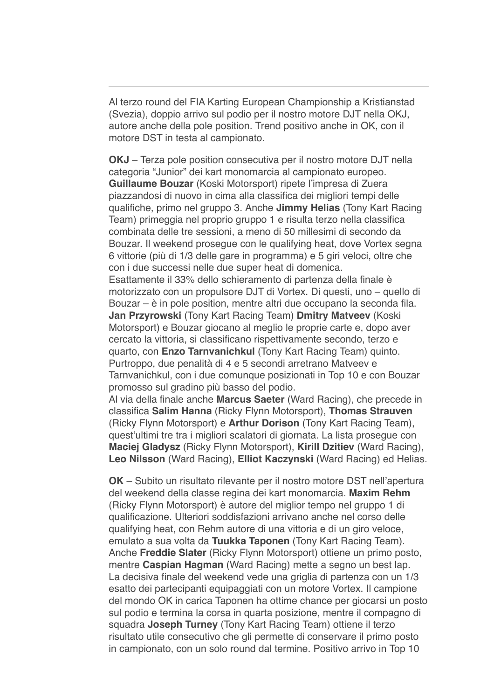Al terzo round del FIA Karting European Championship a Kristianstad (Svezia), doppio arrivo sul podio per il nostro motore DJT nella OKJ, autore anche della pole position. Trend positivo anche in OK, con il motore DST in testa al campionato.

**OKJ** – Terza pole position consecutiva per il nostro motore DJT nella categoria "Junior" dei kart monomarcia al campionato europeo. **Guillaume Bouzar** (Koski Motorsport) ripete l'impresa di Zuera piazzandosi di nuovo in cima alla classifica dei migliori tempi delle qualifiche, primo nel gruppo 3. Anche **Jimmy Helias** (Tony Kart Racing Team) primeggia nel proprio gruppo 1 e risulta terzo nella classifica combinata delle tre sessioni, a meno di 50 millesimi di secondo da Bouzar. Il weekend prosegue con le qualifying heat, dove Vortex segna 6 vittorie (più di 1/3 delle gare in programma) e 5 giri veloci, oltre che con i due successi nelle due super heat di domenica.

Esattamente il 33% dello schieramento di partenza della finale è motorizzato con un propulsore DJT di Vortex. Di questi, uno – quello di Bouzar – è in pole position, mentre altri due occupano la seconda fila. **Jan Przyrowski** (Tony Kart Racing Team) **Dmitry Matveev** (Koski Motorsport) e Bouzar giocano al meglio le proprie carte e, dopo aver cercato la vittoria, si classificano rispettivamente secondo, terzo e quarto, con **Enzo Tarnvanichkul** (Tony Kart Racing Team) quinto. Purtroppo, due penalità di 4 e 5 secondi arretrano Matveev e Tarnvanichkul, con i due comunque posizionati in Top 10 e con Bouzar promosso sul gradino più basso del podio.

Al via della finale anche **Marcus Saeter** (Ward Racing), che precede in classifica **Salim Hanna** (Ricky Flynn Motorsport), **Thomas Strauven** (Ricky Flynn Motorsport) e **Arthur Dorison** (Tony Kart Racing Team), quest'ultimi tre tra i migliori scalatori di giornata. La lista prosegue con **Maciej Gladysz** (Ricky Flynn Motorsport), **Kirill Dzitiev** (Ward Racing), **Leo Nilsson** (Ward Racing), **Elliot Kaczynski** (Ward Racing) ed Helias.

**OK** – Subito un risultato rilevante per il nostro motore DST nell'apertura del weekend della classe regina dei kart monomarcia. **Maxim Rehm** (Ricky Flynn Motorsport) è autore del miglior tempo nel gruppo 1 di qualificazione. Ulteriori soddisfazioni arrivano anche nel corso delle qualifying heat, con Rehm autore di una vittoria e di un giro veloce, emulato a sua volta da **Tuukka Taponen** (Tony Kart Racing Team). Anche **Freddie Slater** (Ricky Flynn Motorsport) ottiene un primo posto, mentre **Caspian Hagman** (Ward Racing) mette a segno un best lap. La decisiva finale del weekend vede una griglia di partenza con un 1/3 esatto dei partecipanti equipaggiati con un motore Vortex. Il campione del mondo OK in carica Taponen ha ottime chance per giocarsi un posto sul podio e termina la corsa in quarta posizione, mentre il compagno di squadra **Joseph Turney** (Tony Kart Racing Team) ottiene il terzo risultato utile consecutivo che gli permette di conservare il primo posto in campionato, con un solo round dal termine. Positivo arrivo in Top 10